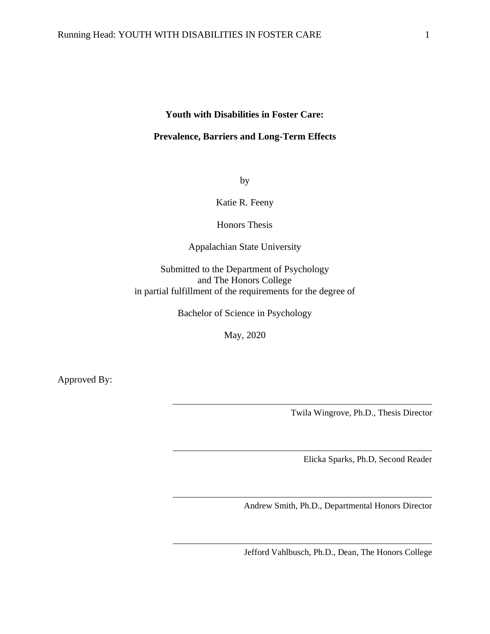#### **Youth with Disabilities in Foster Care:**

#### **Prevalence, Barriers and Long-Term Effects**

by

Katie R. Feeny

Honors Thesis

Appalachian State University

Submitted to the Department of Psychology and The Honors College in partial fulfillment of the requirements for the degree of

Bachelor of Science in Psychology

May, 2020

Approved By:

Twila Wingrove, Ph.D., Thesis Director

Elicka Sparks, Ph.D, Second Reader

Andrew Smith, Ph.D., Departmental Honors Director

Jefford Vahlbusch, Ph.D., Dean, The Honors College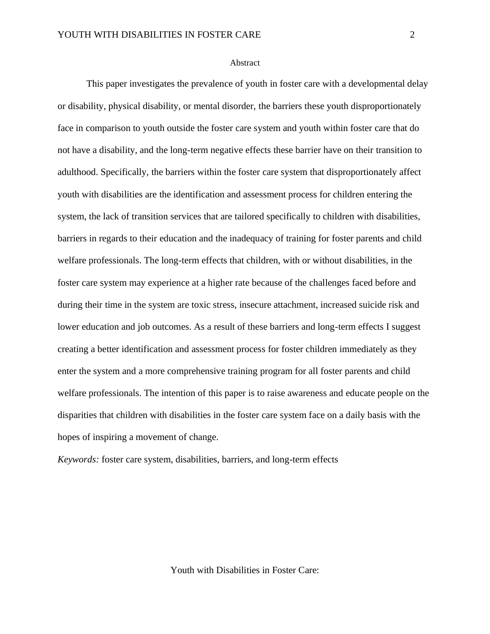#### Abstract

This paper investigates the prevalence of youth in foster care with a developmental delay or disability, physical disability, or mental disorder, the barriers these youth disproportionately face in comparison to youth outside the foster care system and youth within foster care that do not have a disability, and the long-term negative effects these barrier have on their transition to adulthood. Specifically, the barriers within the foster care system that disproportionately affect youth with disabilities are the identification and assessment process for children entering the system, the lack of transition services that are tailored specifically to children with disabilities, barriers in regards to their education and the inadequacy of training for foster parents and child welfare professionals. The long-term effects that children, with or without disabilities, in the foster care system may experience at a higher rate because of the challenges faced before and during their time in the system are toxic stress, insecure attachment, increased suicide risk and lower education and job outcomes. As a result of these barriers and long-term effects I suggest creating a better identification and assessment process for foster children immediately as they enter the system and a more comprehensive training program for all foster parents and child welfare professionals. The intention of this paper is to raise awareness and educate people on the disparities that children with disabilities in the foster care system face on a daily basis with the hopes of inspiring a movement of change.

*Keywords:* foster care system, disabilities, barriers, and long-term effects

Youth with Disabilities in Foster Care: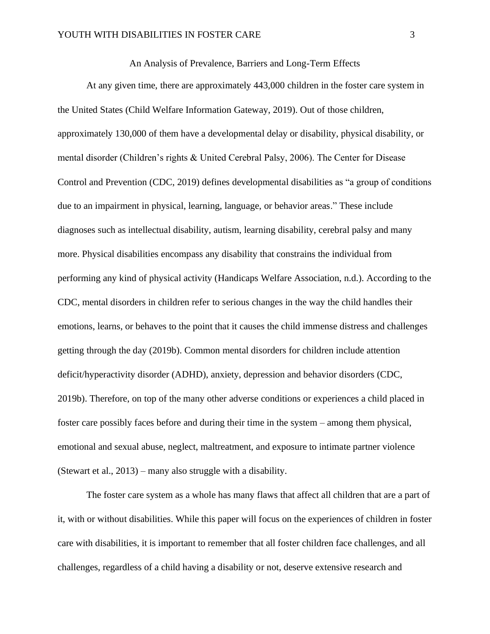An Analysis of Prevalence, Barriers and Long-Term Effects

At any given time, there are approximately 443,000 children in the foster care system in the United States (Child Welfare Information Gateway, 2019). Out of those children, approximately 130,000 of them have a developmental delay or disability, physical disability, or mental disorder (Children's rights & United Cerebral Palsy, 2006). The Center for Disease Control and Prevention (CDC, 2019) defines developmental disabilities as "a group of conditions due to an impairment in physical, learning, language, or behavior areas." These include diagnoses such as intellectual disability, autism, learning disability, cerebral palsy and many more. Physical disabilities encompass any disability that constrains the individual from performing any kind of physical activity (Handicaps Welfare Association, n.d.). According to the CDC, mental disorders in children refer to serious changes in the way the child handles their emotions, learns, or behaves to the point that it causes the child immense distress and challenges getting through the day (2019b). Common mental disorders for children include attention deficit/hyperactivity disorder (ADHD), anxiety, depression and behavior disorders (CDC, 2019b). Therefore, on top of the many other adverse conditions or experiences a child placed in foster care possibly faces before and during their time in the system – among them physical, emotional and sexual abuse, neglect, maltreatment, and exposure to intimate partner violence (Stewart et al., 2013) – many also struggle with a disability.

The foster care system as a whole has many flaws that affect all children that are a part of it, with or without disabilities. While this paper will focus on the experiences of children in foster care with disabilities, it is important to remember that all foster children face challenges, and all challenges, regardless of a child having a disability or not, deserve extensive research and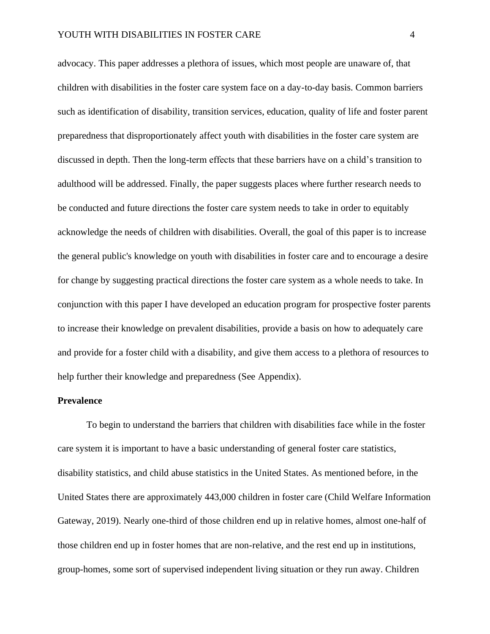advocacy. This paper addresses a plethora of issues, which most people are unaware of, that children with disabilities in the foster care system face on a day-to-day basis. Common barriers such as identification of disability, transition services, education, quality of life and foster parent preparedness that disproportionately affect youth with disabilities in the foster care system are discussed in depth. Then the long-term effects that these barriers have on a child's transition to adulthood will be addressed. Finally, the paper suggests places where further research needs to be conducted and future directions the foster care system needs to take in order to equitably acknowledge the needs of children with disabilities. Overall, the goal of this paper is to increase the general public's knowledge on youth with disabilities in foster care and to encourage a desire for change by suggesting practical directions the foster care system as a whole needs to take. In conjunction with this paper I have developed an education program for prospective foster parents to increase their knowledge on prevalent disabilities, provide a basis on how to adequately care and provide for a foster child with a disability, and give them access to a plethora of resources to help further their knowledge and preparedness (See Appendix).

#### **Prevalence**

To begin to understand the barriers that children with disabilities face while in the foster care system it is important to have a basic understanding of general foster care statistics, disability statistics, and child abuse statistics in the United States. As mentioned before, in the United States there are approximately 443,000 children in foster care (Child Welfare Information Gateway, 2019). Nearly one-third of those children end up in relative homes, almost one-half of those children end up in foster homes that are non-relative, and the rest end up in institutions, group-homes, some sort of supervised independent living situation or they run away. Children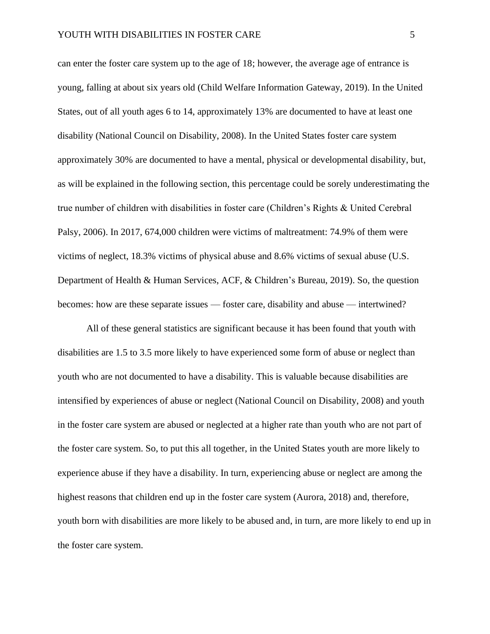can enter the foster care system up to the age of 18; however, the average age of entrance is young, falling at about six years old (Child Welfare Information Gateway, 2019). In the United States, out of all youth ages 6 to 14, approximately 13% are documented to have at least one disability (National Council on Disability, 2008). In the United States foster care system approximately 30% are documented to have a mental, physical or developmental disability, but, as will be explained in the following section, this percentage could be sorely underestimating the true number of children with disabilities in foster care (Children's Rights & United Cerebral Palsy, 2006). In 2017, 674,000 children were victims of maltreatment: 74.9% of them were victims of neglect, 18.3% victims of physical abuse and 8.6% victims of sexual abuse (U.S. Department of Health & Human Services, ACF, & Children's Bureau, 2019). So, the question becomes: how are these separate issues — foster care, disability and abuse — intertwined?

All of these general statistics are significant because it has been found that youth with disabilities are 1.5 to 3.5 more likely to have experienced some form of abuse or neglect than youth who are not documented to have a disability. This is valuable because disabilities are intensified by experiences of abuse or neglect (National Council on Disability, 2008) and youth in the foster care system are abused or neglected at a higher rate than youth who are not part of the foster care system. So, to put this all together, in the United States youth are more likely to experience abuse if they have a disability. In turn, experiencing abuse or neglect are among the highest reasons that children end up in the foster care system (Aurora, 2018) and, therefore, youth born with disabilities are more likely to be abused and, in turn, are more likely to end up in the foster care system.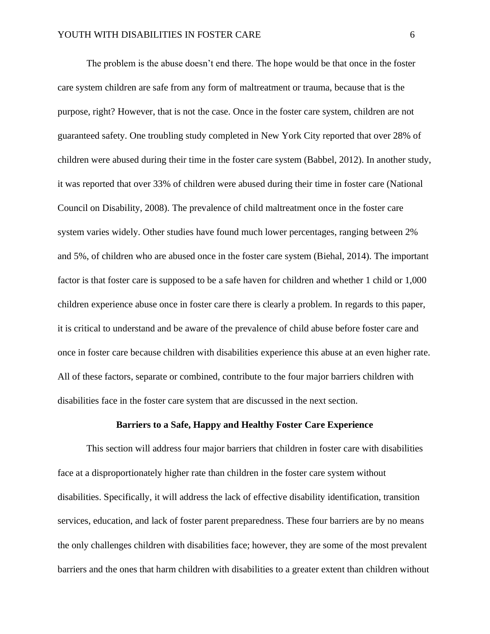The problem is the abuse doesn't end there. The hope would be that once in the foster care system children are safe from any form of maltreatment or trauma, because that is the purpose, right? However, that is not the case. Once in the foster care system, children are not guaranteed safety. One troubling study completed in New York City reported that over 28% of children were abused during their time in the foster care system (Babbel, 2012). In another study, it was reported that over 33% of children were abused during their time in foster care (National Council on Disability, 2008). The prevalence of child maltreatment once in the foster care system varies widely. Other studies have found much lower percentages, ranging between 2% and 5%, of children who are abused once in the foster care system (Biehal, 2014). The important factor is that foster care is supposed to be a safe haven for children and whether 1 child or 1,000 children experience abuse once in foster care there is clearly a problem. In regards to this paper, it is critical to understand and be aware of the prevalence of child abuse before foster care and once in foster care because children with disabilities experience this abuse at an even higher rate. All of these factors, separate or combined, contribute to the four major barriers children with disabilities face in the foster care system that are discussed in the next section.

#### **Barriers to a Safe, Happy and Healthy Foster Care Experience**

This section will address four major barriers that children in foster care with disabilities face at a disproportionately higher rate than children in the foster care system without disabilities. Specifically, it will address the lack of effective disability identification, transition services, education, and lack of foster parent preparedness. These four barriers are by no means the only challenges children with disabilities face; however, they are some of the most prevalent barriers and the ones that harm children with disabilities to a greater extent than children without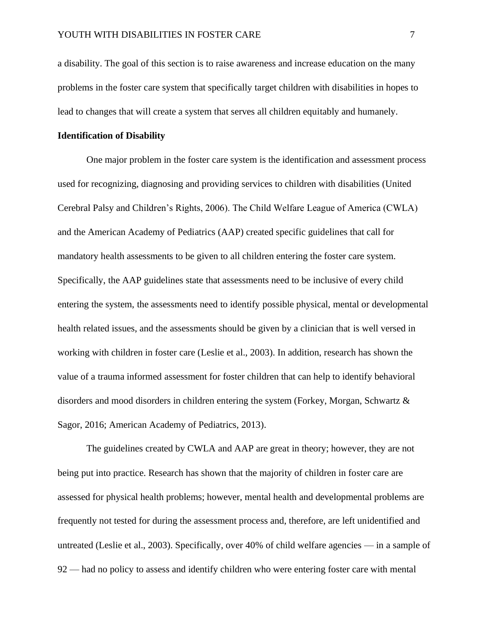a disability. The goal of this section is to raise awareness and increase education on the many problems in the foster care system that specifically target children with disabilities in hopes to lead to changes that will create a system that serves all children equitably and humanely.

#### **Identification of Disability**

One major problem in the foster care system is the identification and assessment process used for recognizing, diagnosing and providing services to children with disabilities (United Cerebral Palsy and Children's Rights, 2006). The Child Welfare League of America (CWLA) and the American Academy of Pediatrics (AAP) created specific guidelines that call for mandatory health assessments to be given to all children entering the foster care system. Specifically, the AAP guidelines state that assessments need to be inclusive of every child entering the system, the assessments need to identify possible physical, mental or developmental health related issues, and the assessments should be given by a clinician that is well versed in working with children in foster care (Leslie et al., 2003). In addition, research has shown the value of a trauma informed assessment for foster children that can help to identify behavioral disorders and mood disorders in children entering the system (Forkey, Morgan, Schwartz & Sagor, 2016; American Academy of Pediatrics, 2013).

The guidelines created by CWLA and AAP are great in theory; however, they are not being put into practice. Research has shown that the majority of children in foster care are assessed for physical health problems; however, mental health and developmental problems are frequently not tested for during the assessment process and, therefore, are left unidentified and untreated (Leslie et al., 2003). Specifically, over 40% of child welfare agencies — in a sample of 92 — had no policy to assess and identify children who were entering foster care with mental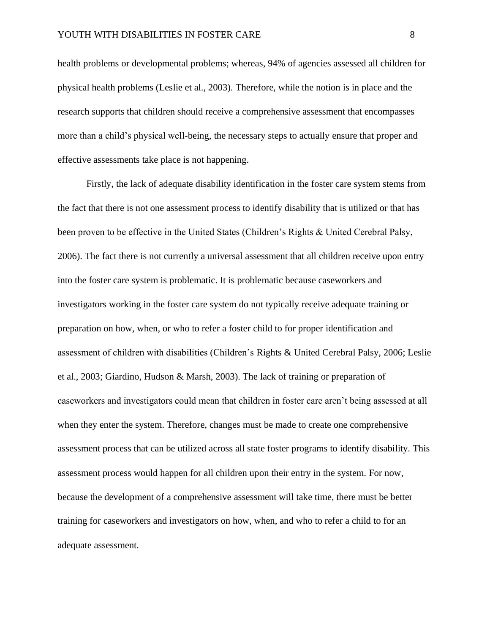health problems or developmental problems; whereas, 94% of agencies assessed all children for physical health problems (Leslie et al., 2003). Therefore, while the notion is in place and the research supports that children should receive a comprehensive assessment that encompasses more than a child's physical well-being, the necessary steps to actually ensure that proper and effective assessments take place is not happening.

Firstly, the lack of adequate disability identification in the foster care system stems from the fact that there is not one assessment process to identify disability that is utilized or that has been proven to be effective in the United States (Children's Rights & United Cerebral Palsy, 2006). The fact there is not currently a universal assessment that all children receive upon entry into the foster care system is problematic. It is problematic because caseworkers and investigators working in the foster care system do not typically receive adequate training or preparation on how, when, or who to refer a foster child to for proper identification and assessment of children with disabilities (Children's Rights & United Cerebral Palsy, 2006; Leslie et al., 2003; Giardino, Hudson & Marsh, 2003). The lack of training or preparation of caseworkers and investigators could mean that children in foster care aren't being assessed at all when they enter the system. Therefore, changes must be made to create one comprehensive assessment process that can be utilized across all state foster programs to identify disability. This assessment process would happen for all children upon their entry in the system. For now, because the development of a comprehensive assessment will take time, there must be better training for caseworkers and investigators on how, when, and who to refer a child to for an adequate assessment.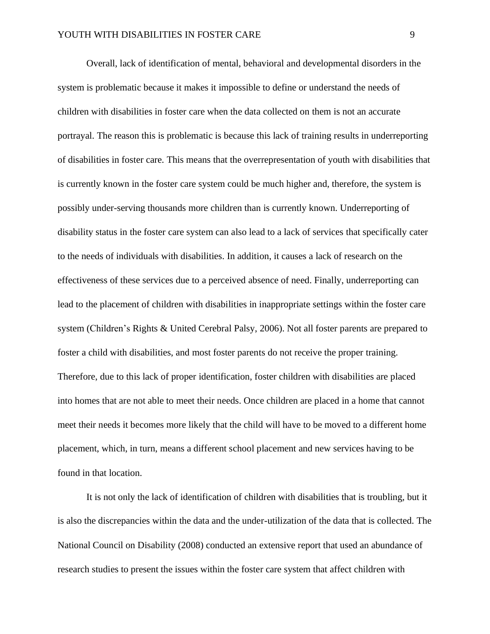Overall, lack of identification of mental, behavioral and developmental disorders in the system is problematic because it makes it impossible to define or understand the needs of children with disabilities in foster care when the data collected on them is not an accurate portrayal. The reason this is problematic is because this lack of training results in underreporting of disabilities in foster care. This means that the overrepresentation of youth with disabilities that is currently known in the foster care system could be much higher and, therefore, the system is possibly under-serving thousands more children than is currently known. Underreporting of disability status in the foster care system can also lead to a lack of services that specifically cater to the needs of individuals with disabilities. In addition, it causes a lack of research on the effectiveness of these services due to a perceived absence of need. Finally, underreporting can lead to the placement of children with disabilities in inappropriate settings within the foster care system (Children's Rights & United Cerebral Palsy, 2006). Not all foster parents are prepared to foster a child with disabilities, and most foster parents do not receive the proper training. Therefore, due to this lack of proper identification, foster children with disabilities are placed into homes that are not able to meet their needs. Once children are placed in a home that cannot meet their needs it becomes more likely that the child will have to be moved to a different home placement, which, in turn, means a different school placement and new services having to be found in that location.

It is not only the lack of identification of children with disabilities that is troubling, but it is also the discrepancies within the data and the under-utilization of the data that is collected. The National Council on Disability (2008) conducted an extensive report that used an abundance of research studies to present the issues within the foster care system that affect children with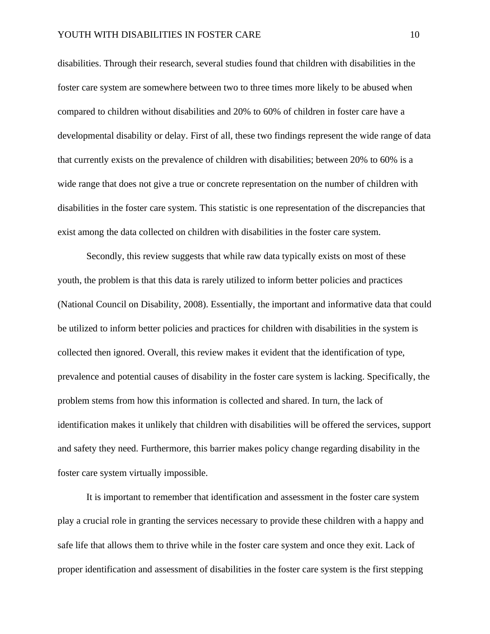disabilities. Through their research, several studies found that children with disabilities in the foster care system are somewhere between two to three times more likely to be abused when compared to children without disabilities and 20% to 60% of children in foster care have a developmental disability or delay. First of all, these two findings represent the wide range of data that currently exists on the prevalence of children with disabilities; between 20% to 60% is a wide range that does not give a true or concrete representation on the number of children with disabilities in the foster care system. This statistic is one representation of the discrepancies that exist among the data collected on children with disabilities in the foster care system.

Secondly, this review suggests that while raw data typically exists on most of these youth, the problem is that this data is rarely utilized to inform better policies and practices (National Council on Disability, 2008). Essentially, the important and informative data that could be utilized to inform better policies and practices for children with disabilities in the system is collected then ignored. Overall, this review makes it evident that the identification of type, prevalence and potential causes of disability in the foster care system is lacking. Specifically, the problem stems from how this information is collected and shared. In turn, the lack of identification makes it unlikely that children with disabilities will be offered the services, support and safety they need. Furthermore, this barrier makes policy change regarding disability in the foster care system virtually impossible.

It is important to remember that identification and assessment in the foster care system play a crucial role in granting the services necessary to provide these children with a happy and safe life that allows them to thrive while in the foster care system and once they exit. Lack of proper identification and assessment of disabilities in the foster care system is the first stepping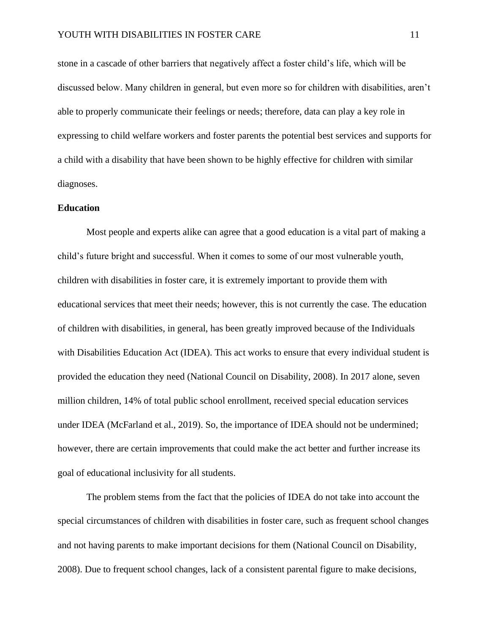stone in a cascade of other barriers that negatively affect a foster child's life, which will be discussed below. Many children in general, but even more so for children with disabilities, aren't able to properly communicate their feelings or needs; therefore, data can play a key role in expressing to child welfare workers and foster parents the potential best services and supports for a child with a disability that have been shown to be highly effective for children with similar diagnoses.

#### **Education**

Most people and experts alike can agree that a good education is a vital part of making a child's future bright and successful. When it comes to some of our most vulnerable youth, children with disabilities in foster care, it is extremely important to provide them with educational services that meet their needs; however, this is not currently the case. The education of children with disabilities, in general, has been greatly improved because of the Individuals with Disabilities Education Act (IDEA). This act works to ensure that every individual student is provided the education they need (National Council on Disability, 2008). In 2017 alone, seven million children, 14% of total public school enrollment, received special education services under IDEA (McFarland et al., 2019). So, the importance of IDEA should not be undermined; however, there are certain improvements that could make the act better and further increase its goal of educational inclusivity for all students.

The problem stems from the fact that the policies of IDEA do not take into account the special circumstances of children with disabilities in foster care, such as frequent school changes and not having parents to make important decisions for them (National Council on Disability, 2008). Due to frequent school changes, lack of a consistent parental figure to make decisions,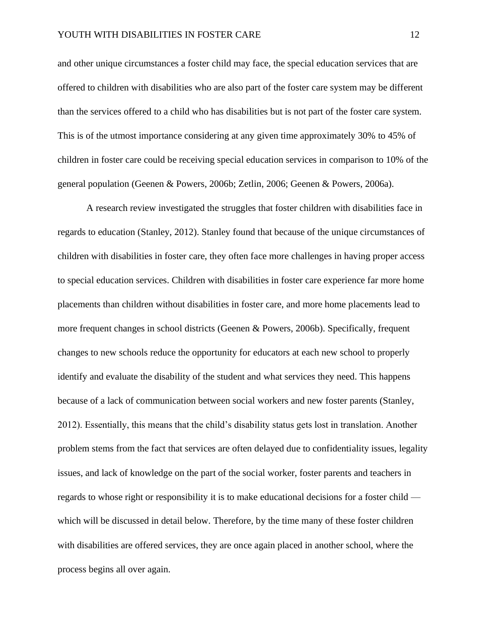and other unique circumstances a foster child may face, the special education services that are offered to children with disabilities who are also part of the foster care system may be different than the services offered to a child who has disabilities but is not part of the foster care system. This is of the utmost importance considering at any given time approximately 30% to 45% of children in foster care could be receiving special education services in comparison to 10% of the general population (Geenen & Powers, 2006b; Zetlin, 2006; Geenen & Powers, 2006a).

A research review investigated the struggles that foster children with disabilities face in regards to education (Stanley, 2012). Stanley found that because of the unique circumstances of children with disabilities in foster care, they often face more challenges in having proper access to special education services. Children with disabilities in foster care experience far more home placements than children without disabilities in foster care, and more home placements lead to more frequent changes in school districts (Geenen & Powers, 2006b). Specifically, frequent changes to new schools reduce the opportunity for educators at each new school to properly identify and evaluate the disability of the student and what services they need. This happens because of a lack of communication between social workers and new foster parents (Stanley, 2012). Essentially, this means that the child's disability status gets lost in translation. Another problem stems from the fact that services are often delayed due to confidentiality issues, legality issues, and lack of knowledge on the part of the social worker, foster parents and teachers in regards to whose right or responsibility it is to make educational decisions for a foster child which will be discussed in detail below. Therefore, by the time many of these foster children with disabilities are offered services, they are once again placed in another school, where the process begins all over again.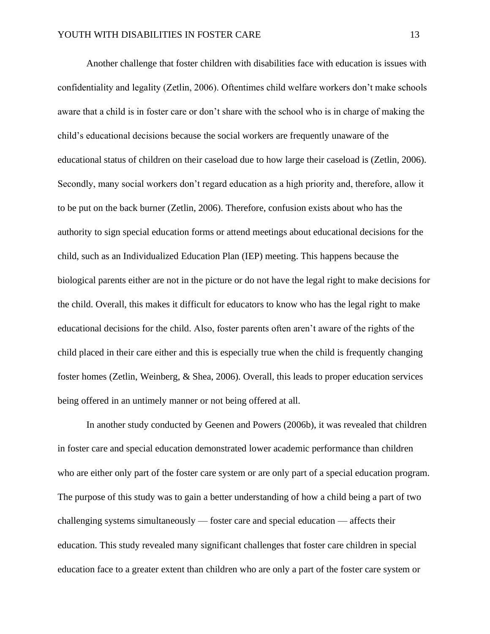Another challenge that foster children with disabilities face with education is issues with confidentiality and legality (Zetlin, 2006). Oftentimes child welfare workers don't make schools aware that a child is in foster care or don't share with the school who is in charge of making the child's educational decisions because the social workers are frequently unaware of the educational status of children on their caseload due to how large their caseload is (Zetlin, 2006). Secondly, many social workers don't regard education as a high priority and, therefore, allow it to be put on the back burner (Zetlin, 2006). Therefore, confusion exists about who has the authority to sign special education forms or attend meetings about educational decisions for the child, such as an Individualized Education Plan (IEP) meeting. This happens because the biological parents either are not in the picture or do not have the legal right to make decisions for the child. Overall, this makes it difficult for educators to know who has the legal right to make educational decisions for the child. Also, foster parents often aren't aware of the rights of the child placed in their care either and this is especially true when the child is frequently changing foster homes (Zetlin, Weinberg, & Shea, 2006). Overall, this leads to proper education services being offered in an untimely manner or not being offered at all.

In another study conducted by Geenen and Powers (2006b), it was revealed that children in foster care and special education demonstrated lower academic performance than children who are either only part of the foster care system or are only part of a special education program. The purpose of this study was to gain a better understanding of how a child being a part of two challenging systems simultaneously — foster care and special education — affects their education. This study revealed many significant challenges that foster care children in special education face to a greater extent than children who are only a part of the foster care system or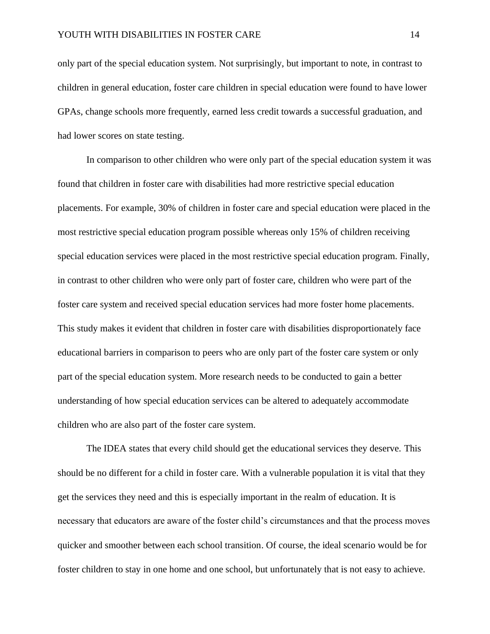only part of the special education system. Not surprisingly, but important to note, in contrast to children in general education, foster care children in special education were found to have lower GPAs, change schools more frequently, earned less credit towards a successful graduation, and had lower scores on state testing.

In comparison to other children who were only part of the special education system it was found that children in foster care with disabilities had more restrictive special education placements. For example, 30% of children in foster care and special education were placed in the most restrictive special education program possible whereas only 15% of children receiving special education services were placed in the most restrictive special education program. Finally, in contrast to other children who were only part of foster care, children who were part of the foster care system and received special education services had more foster home placements. This study makes it evident that children in foster care with disabilities disproportionately face educational barriers in comparison to peers who are only part of the foster care system or only part of the special education system. More research needs to be conducted to gain a better understanding of how special education services can be altered to adequately accommodate children who are also part of the foster care system.

The IDEA states that every child should get the educational services they deserve. This should be no different for a child in foster care. With a vulnerable population it is vital that they get the services they need and this is especially important in the realm of education. It is necessary that educators are aware of the foster child's circumstances and that the process moves quicker and smoother between each school transition. Of course, the ideal scenario would be for foster children to stay in one home and one school, but unfortunately that is not easy to achieve.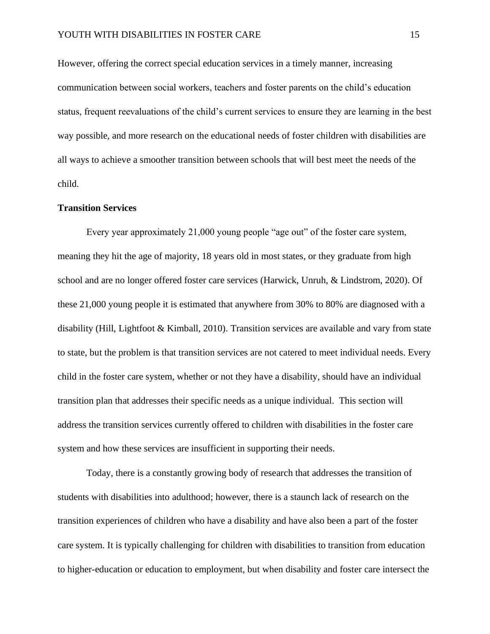However, offering the correct special education services in a timely manner, increasing communication between social workers, teachers and foster parents on the child's education status, frequent reevaluations of the child's current services to ensure they are learning in the best way possible, and more research on the educational needs of foster children with disabilities are all ways to achieve a smoother transition between schools that will best meet the needs of the child.

#### **Transition Services**

Every year approximately 21,000 young people "age out" of the foster care system, meaning they hit the age of majority, 18 years old in most states, or they graduate from high school and are no longer offered foster care services (Harwick, Unruh, & Lindstrom, 2020). Of these 21,000 young people it is estimated that anywhere from 30% to 80% are diagnosed with a disability (Hill, Lightfoot & Kimball, 2010). Transition services are available and vary from state to state, but the problem is that transition services are not catered to meet individual needs. Every child in the foster care system, whether or not they have a disability, should have an individual transition plan that addresses their specific needs as a unique individual. This section will address the transition services currently offered to children with disabilities in the foster care system and how these services are insufficient in supporting their needs.

Today, there is a constantly growing body of research that addresses the transition of students with disabilities into adulthood; however, there is a staunch lack of research on the transition experiences of children who have a disability and have also been a part of the foster care system. It is typically challenging for children with disabilities to transition from education to higher-education or education to employment, but when disability and foster care intersect the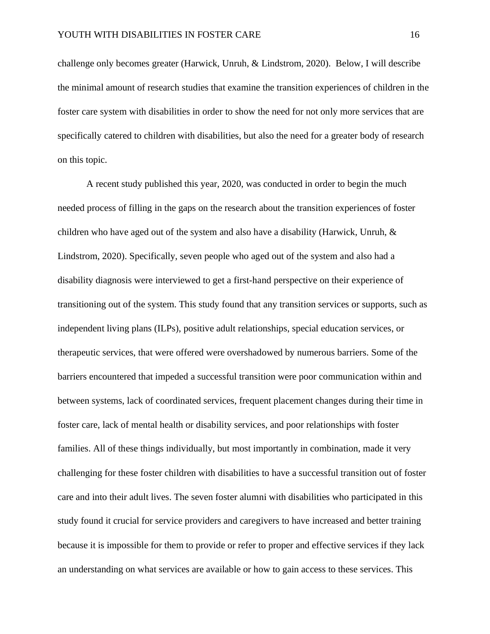challenge only becomes greater (Harwick, Unruh, & Lindstrom, 2020). Below, I will describe the minimal amount of research studies that examine the transition experiences of children in the foster care system with disabilities in order to show the need for not only more services that are specifically catered to children with disabilities, but also the need for a greater body of research on this topic.

A recent study published this year, 2020, was conducted in order to begin the much needed process of filling in the gaps on the research about the transition experiences of foster children who have aged out of the system and also have a disability (Harwick, Unruh, & Lindstrom, 2020). Specifically, seven people who aged out of the system and also had a disability diagnosis were interviewed to get a first-hand perspective on their experience of transitioning out of the system. This study found that any transition services or supports, such as independent living plans (ILPs), positive adult relationships, special education services, or therapeutic services, that were offered were overshadowed by numerous barriers. Some of the barriers encountered that impeded a successful transition were poor communication within and between systems, lack of coordinated services, frequent placement changes during their time in foster care, lack of mental health or disability services, and poor relationships with foster families. All of these things individually, but most importantly in combination, made it very challenging for these foster children with disabilities to have a successful transition out of foster care and into their adult lives. The seven foster alumni with disabilities who participated in this study found it crucial for service providers and caregivers to have increased and better training because it is impossible for them to provide or refer to proper and effective services if they lack an understanding on what services are available or how to gain access to these services. This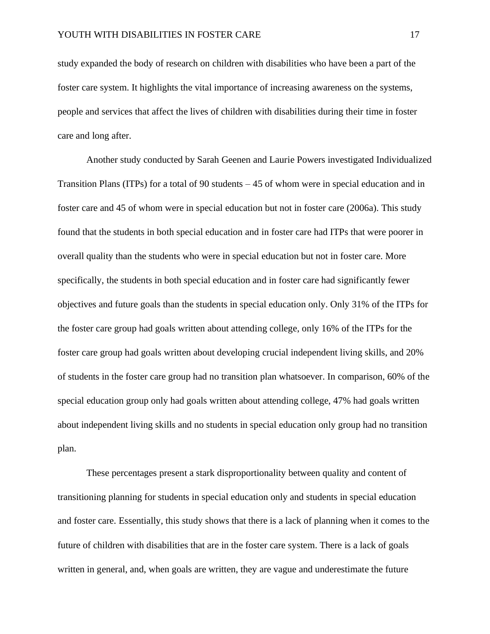study expanded the body of research on children with disabilities who have been a part of the foster care system. It highlights the vital importance of increasing awareness on the systems, people and services that affect the lives of children with disabilities during their time in foster care and long after.

Another study conducted by Sarah Geenen and Laurie Powers investigated Individualized Transition Plans (ITPs) for a total of 90 students – 45 of whom were in special education and in foster care and 45 of whom were in special education but not in foster care (2006a). This study found that the students in both special education and in foster care had ITPs that were poorer in overall quality than the students who were in special education but not in foster care. More specifically, the students in both special education and in foster care had significantly fewer objectives and future goals than the students in special education only. Only 31% of the ITPs for the foster care group had goals written about attending college, only 16% of the ITPs for the foster care group had goals written about developing crucial independent living skills, and 20% of students in the foster care group had no transition plan whatsoever. In comparison, 60% of the special education group only had goals written about attending college, 47% had goals written about independent living skills and no students in special education only group had no transition plan.

These percentages present a stark disproportionality between quality and content of transitioning planning for students in special education only and students in special education and foster care. Essentially, this study shows that there is a lack of planning when it comes to the future of children with disabilities that are in the foster care system. There is a lack of goals written in general, and, when goals are written, they are vague and underestimate the future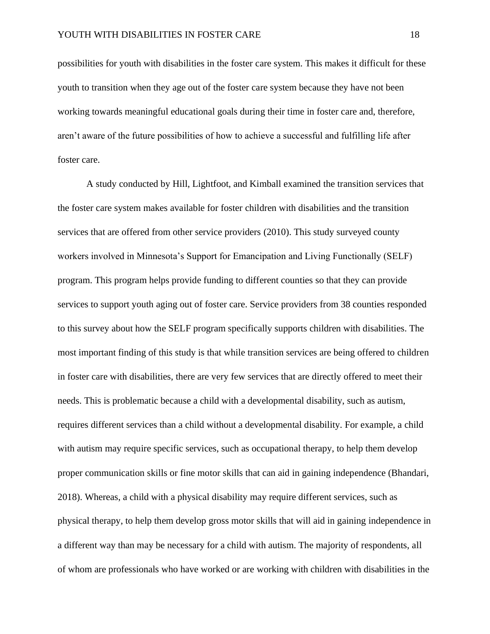possibilities for youth with disabilities in the foster care system. This makes it difficult for these youth to transition when they age out of the foster care system because they have not been working towards meaningful educational goals during their time in foster care and, therefore, aren't aware of the future possibilities of how to achieve a successful and fulfilling life after foster care.

A study conducted by Hill, Lightfoot, and Kimball examined the transition services that the foster care system makes available for foster children with disabilities and the transition services that are offered from other service providers (2010). This study surveyed county workers involved in Minnesota's Support for Emancipation and Living Functionally (SELF) program. This program helps provide funding to different counties so that they can provide services to support youth aging out of foster care. Service providers from 38 counties responded to this survey about how the SELF program specifically supports children with disabilities. The most important finding of this study is that while transition services are being offered to children in foster care with disabilities, there are very few services that are directly offered to meet their needs. This is problematic because a child with a developmental disability, such as autism, requires different services than a child without a developmental disability. For example, a child with autism may require specific services, such as occupational therapy, to help them develop proper communication skills or fine motor skills that can aid in gaining independence (Bhandari, 2018). Whereas, a child with a physical disability may require different services, such as physical therapy, to help them develop gross motor skills that will aid in gaining independence in a different way than may be necessary for a child with autism. The majority of respondents, all of whom are professionals who have worked or are working with children with disabilities in the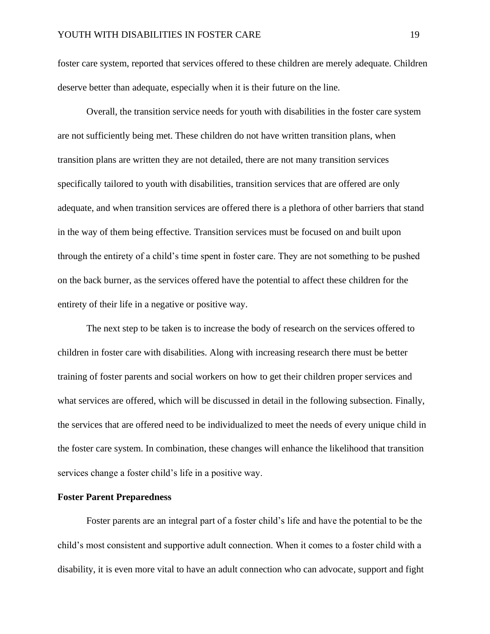foster care system, reported that services offered to these children are merely adequate. Children deserve better than adequate, especially when it is their future on the line.

Overall, the transition service needs for youth with disabilities in the foster care system are not sufficiently being met. These children do not have written transition plans, when transition plans are written they are not detailed, there are not many transition services specifically tailored to youth with disabilities, transition services that are offered are only adequate, and when transition services are offered there is a plethora of other barriers that stand in the way of them being effective. Transition services must be focused on and built upon through the entirety of a child's time spent in foster care. They are not something to be pushed on the back burner, as the services offered have the potential to affect these children for the entirety of their life in a negative or positive way.

The next step to be taken is to increase the body of research on the services offered to children in foster care with disabilities. Along with increasing research there must be better training of foster parents and social workers on how to get their children proper services and what services are offered, which will be discussed in detail in the following subsection. Finally, the services that are offered need to be individualized to meet the needs of every unique child in the foster care system. In combination, these changes will enhance the likelihood that transition services change a foster child's life in a positive way.

#### **Foster Parent Preparedness**

Foster parents are an integral part of a foster child's life and have the potential to be the child's most consistent and supportive adult connection. When it comes to a foster child with a disability, it is even more vital to have an adult connection who can advocate, support and fight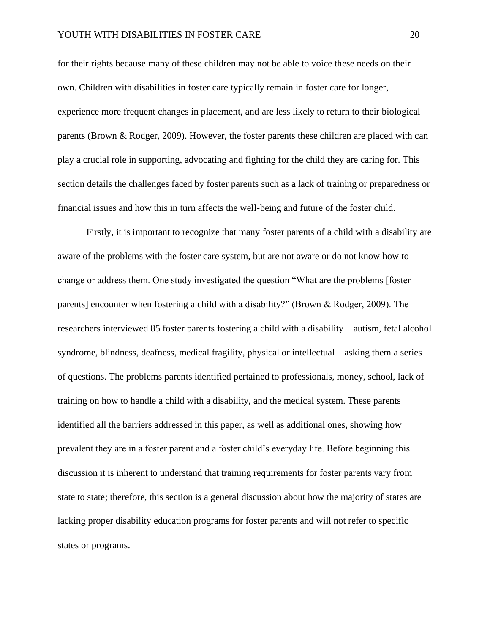#### YOUTH WITH DISABILITIES IN FOSTER CARE 20

for their rights because many of these children may not be able to voice these needs on their own. Children with disabilities in foster care typically remain in foster care for longer, experience more frequent changes in placement, and are less likely to return to their biological parents (Brown & Rodger, 2009). However, the foster parents these children are placed with can play a crucial role in supporting, advocating and fighting for the child they are caring for. This section details the challenges faced by foster parents such as a lack of training or preparedness or financial issues and how this in turn affects the well-being and future of the foster child.

 Firstly, it is important to recognize that many foster parents of a child with a disability are aware of the problems with the foster care system, but are not aware or do not know how to change or address them. One study investigated the question "What are the problems [foster parents] encounter when fostering a child with a disability?" (Brown & Rodger, 2009). The researchers interviewed 85 foster parents fostering a child with a disability – autism, fetal alcohol syndrome, blindness, deafness, medical fragility, physical or intellectual – asking them a series of questions. The problems parents identified pertained to professionals, money, school, lack of training on how to handle a child with a disability, and the medical system. These parents identified all the barriers addressed in this paper, as well as additional ones, showing how prevalent they are in a foster parent and a foster child's everyday life. Before beginning this discussion it is inherent to understand that training requirements for foster parents vary from state to state; therefore, this section is a general discussion about how the majority of states are lacking proper disability education programs for foster parents and will not refer to specific states or programs.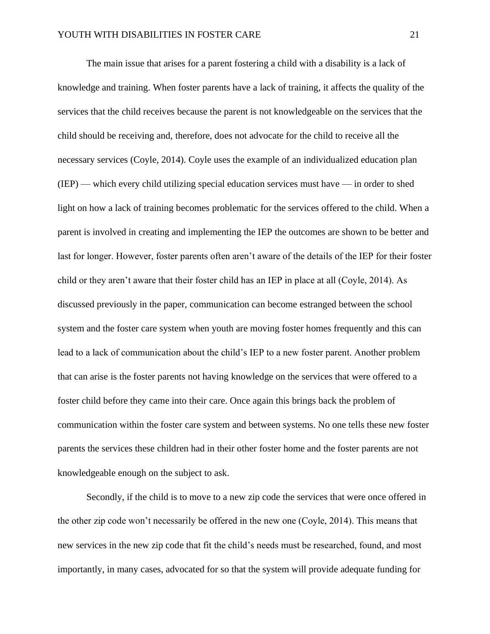The main issue that arises for a parent fostering a child with a disability is a lack of knowledge and training. When foster parents have a lack of training, it affects the quality of the services that the child receives because the parent is not knowledgeable on the services that the child should be receiving and, therefore, does not advocate for the child to receive all the necessary services (Coyle, 2014). Coyle uses the example of an individualized education plan (IEP) — which every child utilizing special education services must have — in order to shed light on how a lack of training becomes problematic for the services offered to the child. When a parent is involved in creating and implementing the IEP the outcomes are shown to be better and last for longer. However, foster parents often aren't aware of the details of the IEP for their foster child or they aren't aware that their foster child has an IEP in place at all (Coyle, 2014). As discussed previously in the paper, communication can become estranged between the school system and the foster care system when youth are moving foster homes frequently and this can lead to a lack of communication about the child's IEP to a new foster parent. Another problem that can arise is the foster parents not having knowledge on the services that were offered to a foster child before they came into their care. Once again this brings back the problem of communication within the foster care system and between systems. No one tells these new foster parents the services these children had in their other foster home and the foster parents are not knowledgeable enough on the subject to ask.

Secondly, if the child is to move to a new zip code the services that were once offered in the other zip code won't necessarily be offered in the new one (Coyle, 2014). This means that new services in the new zip code that fit the child's needs must be researched, found, and most importantly, in many cases, advocated for so that the system will provide adequate funding for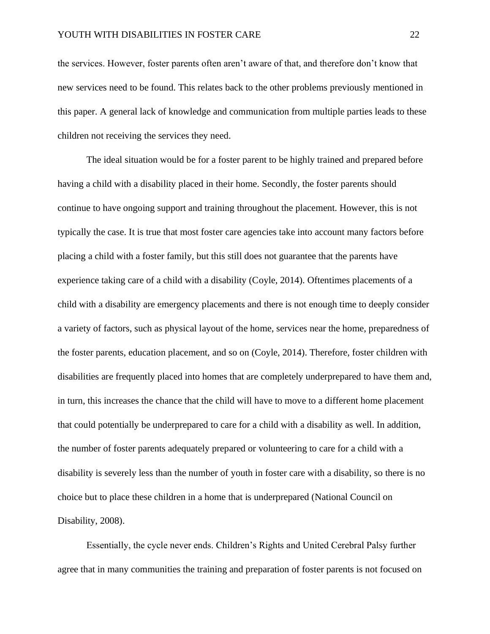the services. However, foster parents often aren't aware of that, and therefore don't know that new services need to be found. This relates back to the other problems previously mentioned in this paper. A general lack of knowledge and communication from multiple parties leads to these children not receiving the services they need.

 The ideal situation would be for a foster parent to be highly trained and prepared before having a child with a disability placed in their home. Secondly, the foster parents should continue to have ongoing support and training throughout the placement. However, this is not typically the case. It is true that most foster care agencies take into account many factors before placing a child with a foster family, but this still does not guarantee that the parents have experience taking care of a child with a disability (Coyle, 2014). Oftentimes placements of a child with a disability are emergency placements and there is not enough time to deeply consider a variety of factors, such as physical layout of the home, services near the home, preparedness of the foster parents, education placement, and so on (Coyle, 2014). Therefore, foster children with disabilities are frequently placed into homes that are completely underprepared to have them and, in turn, this increases the chance that the child will have to move to a different home placement that could potentially be underprepared to care for a child with a disability as well. In addition, the number of foster parents adequately prepared or volunteering to care for a child with a disability is severely less than the number of youth in foster care with a disability, so there is no choice but to place these children in a home that is underprepared (National Council on Disability, 2008).

Essentially, the cycle never ends. Children's Rights and United Cerebral Palsy further agree that in many communities the training and preparation of foster parents is not focused on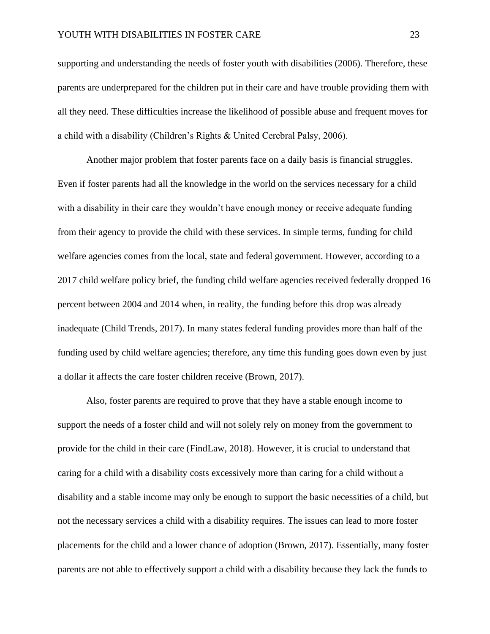supporting and understanding the needs of foster youth with disabilities (2006). Therefore, these parents are underprepared for the children put in their care and have trouble providing them with all they need. These difficulties increase the likelihood of possible abuse and frequent moves for a child with a disability (Children's Rights & United Cerebral Palsy, 2006).

Another major problem that foster parents face on a daily basis is financial struggles. Even if foster parents had all the knowledge in the world on the services necessary for a child with a disability in their care they wouldn't have enough money or receive adequate funding from their agency to provide the child with these services. In simple terms, funding for child welfare agencies comes from the local, state and federal government. However, according to a 2017 child welfare policy brief, the funding child welfare agencies received federally dropped 16 percent between 2004 and 2014 when, in reality, the funding before this drop was already inadequate (Child Trends, 2017). In many states federal funding provides more than half of the funding used by child welfare agencies; therefore, any time this funding goes down even by just a dollar it affects the care foster children receive (Brown, 2017).

Also, foster parents are required to prove that they have a stable enough income to support the needs of a foster child and will not solely rely on money from the government to provide for the child in their care (FindLaw, 2018). However, it is crucial to understand that caring for a child with a disability costs excessively more than caring for a child without a disability and a stable income may only be enough to support the basic necessities of a child, but not the necessary services a child with a disability requires. The issues can lead to more foster placements for the child and a lower chance of adoption (Brown, 2017). Essentially, many foster parents are not able to effectively support a child with a disability because they lack the funds to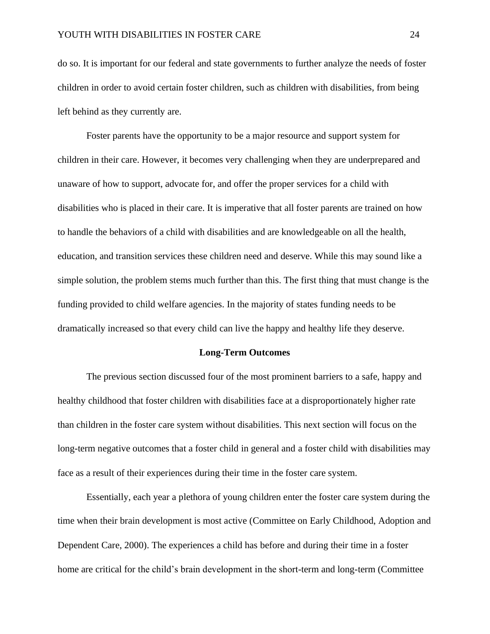do so. It is important for our federal and state governments to further analyze the needs of foster children in order to avoid certain foster children, such as children with disabilities, from being left behind as they currently are.

 Foster parents have the opportunity to be a major resource and support system for children in their care. However, it becomes very challenging when they are underprepared and unaware of how to support, advocate for, and offer the proper services for a child with disabilities who is placed in their care. It is imperative that all foster parents are trained on how to handle the behaviors of a child with disabilities and are knowledgeable on all the health, education, and transition services these children need and deserve. While this may sound like a simple solution, the problem stems much further than this. The first thing that must change is the funding provided to child welfare agencies. In the majority of states funding needs to be dramatically increased so that every child can live the happy and healthy life they deserve.

#### **Long-Term Outcomes**

The previous section discussed four of the most prominent barriers to a safe, happy and healthy childhood that foster children with disabilities face at a disproportionately higher rate than children in the foster care system without disabilities. This next section will focus on the long-term negative outcomes that a foster child in general and a foster child with disabilities may face as a result of their experiences during their time in the foster care system.

Essentially, each year a plethora of young children enter the foster care system during the time when their brain development is most active (Committee on Early Childhood, Adoption and Dependent Care, 2000). The experiences a child has before and during their time in a foster home are critical for the child's brain development in the short-term and long-term (Committee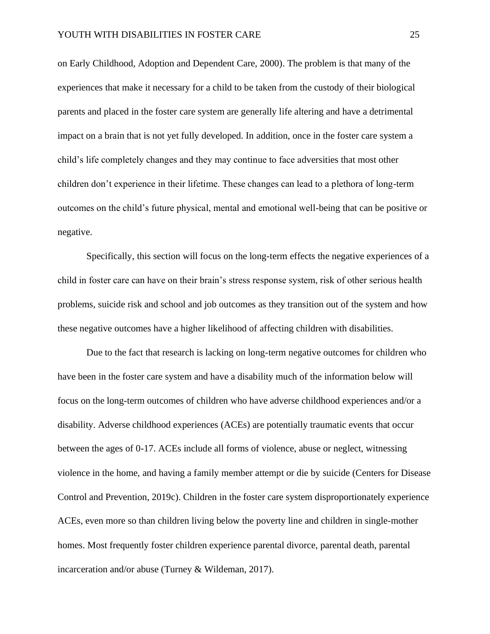on Early Childhood, Adoption and Dependent Care, 2000). The problem is that many of the experiences that make it necessary for a child to be taken from the custody of their biological parents and placed in the foster care system are generally life altering and have a detrimental impact on a brain that is not yet fully developed. In addition, once in the foster care system a child's life completely changes and they may continue to face adversities that most other children don't experience in their lifetime. These changes can lead to a plethora of long-term outcomes on the child's future physical, mental and emotional well-being that can be positive or negative.

Specifically, this section will focus on the long-term effects the negative experiences of a child in foster care can have on their brain's stress response system, risk of other serious health problems, suicide risk and school and job outcomes as they transition out of the system and how these negative outcomes have a higher likelihood of affecting children with disabilities.

Due to the fact that research is lacking on long-term negative outcomes for children who have been in the foster care system and have a disability much of the information below will focus on the long-term outcomes of children who have adverse childhood experiences and/or a disability. Adverse childhood experiences (ACEs) are potentially traumatic events that occur between the ages of 0-17. ACEs include all forms of violence, abuse or neglect, witnessing violence in the home, and having a family member attempt or die by suicide (Centers for Disease Control and Prevention, 2019c). Children in the foster care system disproportionately experience ACEs, even more so than children living below the poverty line and children in single-mother homes. Most frequently foster children experience parental divorce, parental death, parental incarceration and/or abuse (Turney & Wildeman, 2017).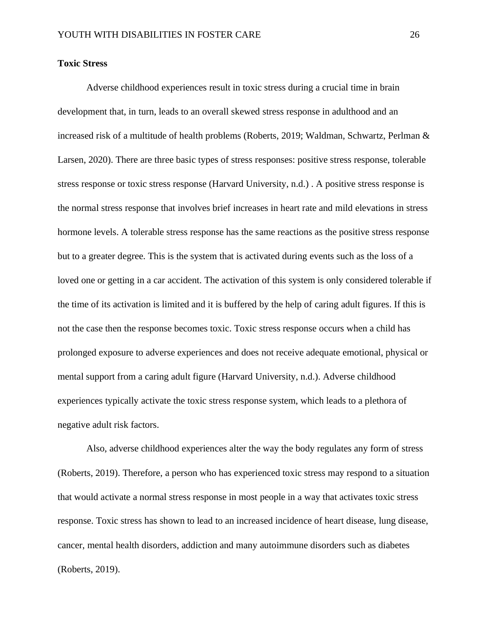#### **Toxic Stress**

Adverse childhood experiences result in toxic stress during a crucial time in brain development that, in turn, leads to an overall skewed stress response in adulthood and an increased risk of a multitude of health problems (Roberts, 2019; Waldman, Schwartz, Perlman & Larsen, 2020). There are three basic types of stress responses: positive stress response, tolerable stress response or toxic stress response (Harvard University, n.d.) . A positive stress response is the normal stress response that involves brief increases in heart rate and mild elevations in stress hormone levels. A tolerable stress response has the same reactions as the positive stress response but to a greater degree. This is the system that is activated during events such as the loss of a loved one or getting in a car accident. The activation of this system is only considered tolerable if the time of its activation is limited and it is buffered by the help of caring adult figures. If this is not the case then the response becomes toxic. Toxic stress response occurs when a child has prolonged exposure to adverse experiences and does not receive adequate emotional, physical or mental support from a caring adult figure (Harvard University, n.d.). Adverse childhood experiences typically activate the toxic stress response system, which leads to a plethora of negative adult risk factors.

Also, adverse childhood experiences alter the way the body regulates any form of stress (Roberts, 2019). Therefore, a person who has experienced toxic stress may respond to a situation that would activate a normal stress response in most people in a way that activates toxic stress response. Toxic stress has shown to lead to an increased incidence of heart disease, lung disease, cancer, mental health disorders, addiction and many autoimmune disorders such as diabetes (Roberts, 2019).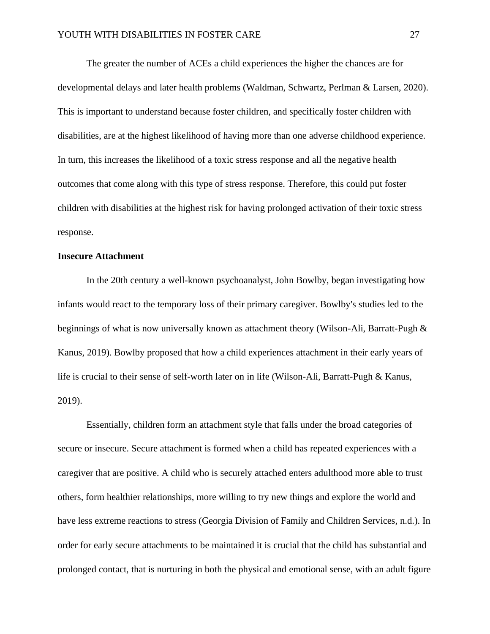The greater the number of ACEs a child experiences the higher the chances are for developmental delays and later health problems (Waldman, Schwartz, Perlman & Larsen, 2020). This is important to understand because foster children, and specifically foster children with disabilities, are at the highest likelihood of having more than one adverse childhood experience. In turn, this increases the likelihood of a toxic stress response and all the negative health outcomes that come along with this type of stress response. Therefore, this could put foster children with disabilities at the highest risk for having prolonged activation of their toxic stress response.

#### **Insecure Attachment**

In the 20th century a well-known psychoanalyst, John Bowlby, began investigating how infants would react to the temporary loss of their primary caregiver. Bowlby's studies led to the beginnings of what is now universally known as attachment theory (Wilson-Ali, Barratt-Pugh & Kanus, 2019). Bowlby proposed that how a child experiences attachment in their early years of life is crucial to their sense of self-worth later on in life (Wilson-Ali, Barratt-Pugh & Kanus, 2019).

Essentially, children form an attachment style that falls under the broad categories of secure or insecure. Secure attachment is formed when a child has repeated experiences with a caregiver that are positive. A child who is securely attached enters adulthood more able to trust others, form healthier relationships, more willing to try new things and explore the world and have less extreme reactions to stress (Georgia Division of Family and Children Services, n.d.). In order for early secure attachments to be maintained it is crucial that the child has substantial and prolonged contact, that is nurturing in both the physical and emotional sense, with an adult figure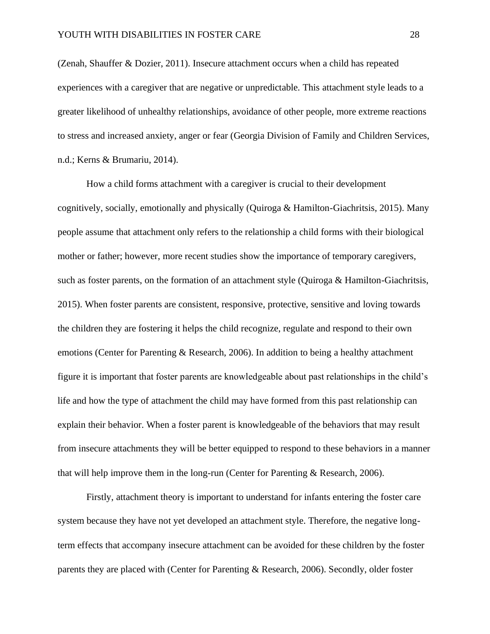(Zenah, Shauffer & Dozier, 2011). Insecure attachment occurs when a child has repeated experiences with a caregiver that are negative or unpredictable. This attachment style leads to a greater likelihood of unhealthy relationships, avoidance of other people, more extreme reactions to stress and increased anxiety, anger or fear (Georgia Division of Family and Children Services, n.d.; Kerns & Brumariu, 2014).

How a child forms attachment with a caregiver is crucial to their development cognitively, socially, emotionally and physically (Quiroga & Hamilton-Giachritsis, 2015). Many people assume that attachment only refers to the relationship a child forms with their biological mother or father; however, more recent studies show the importance of temporary caregivers, such as foster parents, on the formation of an attachment style (Quiroga & Hamilton-Giachritsis, 2015). When foster parents are consistent, responsive, protective, sensitive and loving towards the children they are fostering it helps the child recognize, regulate and respond to their own emotions (Center for Parenting & Research, 2006). In addition to being a healthy attachment figure it is important that foster parents are knowledgeable about past relationships in the child's life and how the type of attachment the child may have formed from this past relationship can explain their behavior. When a foster parent is knowledgeable of the behaviors that may result from insecure attachments they will be better equipped to respond to these behaviors in a manner that will help improve them in the long-run (Center for Parenting & Research, 2006).

Firstly, attachment theory is important to understand for infants entering the foster care system because they have not yet developed an attachment style. Therefore, the negative longterm effects that accompany insecure attachment can be avoided for these children by the foster parents they are placed with (Center for Parenting & Research, 2006). Secondly, older foster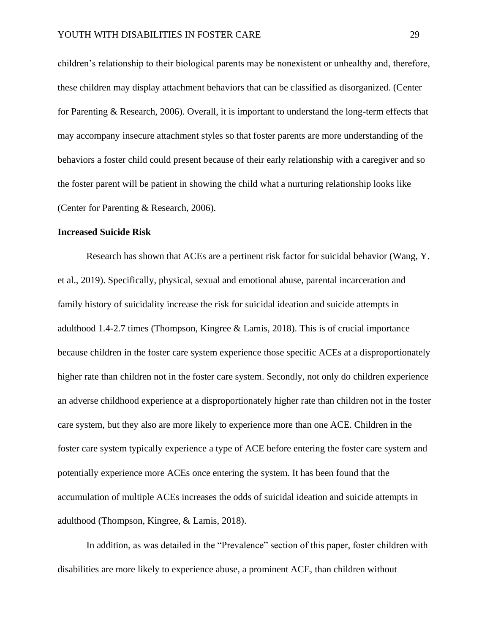children's relationship to their biological parents may be nonexistent or unhealthy and, therefore, these children may display attachment behaviors that can be classified as disorganized. (Center for Parenting & Research, 2006). Overall, it is important to understand the long-term effects that may accompany insecure attachment styles so that foster parents are more understanding of the behaviors a foster child could present because of their early relationship with a caregiver and so the foster parent will be patient in showing the child what a nurturing relationship looks like (Center for Parenting & Research, 2006).

#### **Increased Suicide Risk**

Research has shown that ACEs are a pertinent risk factor for suicidal behavior (Wang, Y. et al., 2019). Specifically, physical, sexual and emotional abuse, parental incarceration and family history of suicidality increase the risk for suicidal ideation and suicide attempts in adulthood 1.4-2.7 times (Thompson, Kingree & Lamis, 2018). This is of crucial importance because children in the foster care system experience those specific ACEs at a disproportionately higher rate than children not in the foster care system. Secondly, not only do children experience an adverse childhood experience at a disproportionately higher rate than children not in the foster care system, but they also are more likely to experience more than one ACE. Children in the foster care system typically experience a type of ACE before entering the foster care system and potentially experience more ACEs once entering the system. It has been found that the accumulation of multiple ACEs increases the odds of suicidal ideation and suicide attempts in adulthood (Thompson, Kingree, & Lamis, 2018).

In addition, as was detailed in the "Prevalence" section of this paper, foster children with disabilities are more likely to experience abuse, a prominent ACE, than children without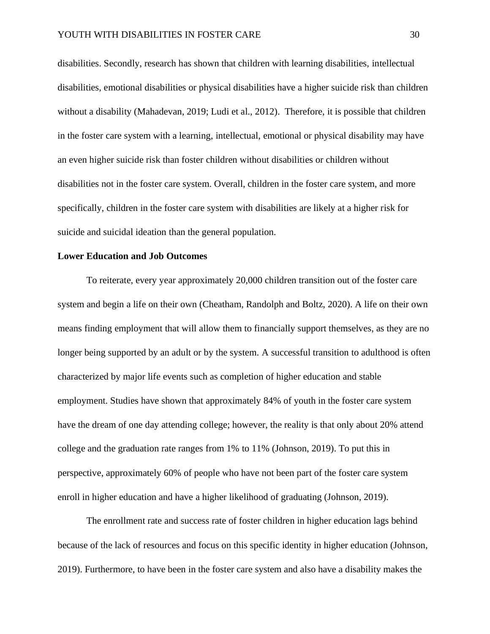disabilities. Secondly, research has shown that children with learning disabilities, intellectual disabilities, emotional disabilities or physical disabilities have a higher suicide risk than children without a disability (Mahadevan, 2019; Ludi et al., 2012). Therefore, it is possible that children in the foster care system with a learning, intellectual, emotional or physical disability may have an even higher suicide risk than foster children without disabilities or children without disabilities not in the foster care system. Overall, children in the foster care system, and more specifically, children in the foster care system with disabilities are likely at a higher risk for suicide and suicidal ideation than the general population.

#### **Lower Education and Job Outcomes**

To reiterate, every year approximately 20,000 children transition out of the foster care system and begin a life on their own (Cheatham, Randolph and Boltz, 2020). A life on their own means finding employment that will allow them to financially support themselves, as they are no longer being supported by an adult or by the system. A successful transition to adulthood is often characterized by major life events such as completion of higher education and stable employment. Studies have shown that approximately 84% of youth in the foster care system have the dream of one day attending college; however, the reality is that only about 20% attend college and the graduation rate ranges from 1% to 11% (Johnson, 2019). To put this in perspective, approximately 60% of people who have not been part of the foster care system enroll in higher education and have a higher likelihood of graduating (Johnson, 2019).

The enrollment rate and success rate of foster children in higher education lags behind because of the lack of resources and focus on this specific identity in higher education (Johnson, 2019). Furthermore, to have been in the foster care system and also have a disability makes the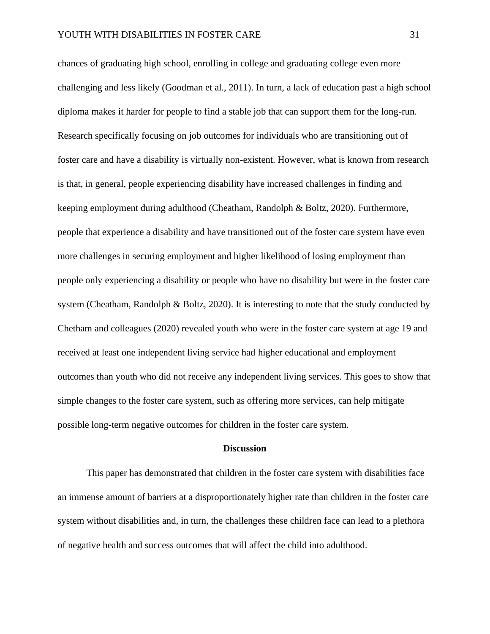chances of graduating high school, enrolling in college and graduating college even more challenging and less likely (Goodman et al., 2011). In turn, a lack of education past a high school diploma makes it harder for people to find a stable job that can support them for the long-run. Research specifically focusing on job outcomes for individuals who are transitioning out of foster care and have a disability is virtually non-existent. However, what is known from research is that, in general, people experiencing disability have increased challenges in finding and keeping employment during adulthood (Cheatham, Randolph & Boltz, 2020). Furthermore, people that experience a disability and have transitioned out of the foster care system have even more challenges in securing employment and higher likelihood of losing employment than people only experiencing a disability or people who have no disability but were in the foster care system (Cheatham, Randolph & Boltz, 2020). It is interesting to note that the study conducted by Chetham and colleagues (2020) revealed youth who were in the foster care system at age 19 and received at least one independent living service had higher educational and employment outcomes than youth who did not receive any independent living services. This goes to show that simple changes to the foster care system, such as offering more services, can help mitigate possible long-term negative outcomes for children in the foster care system.

#### **Discussion**

This paper has demonstrated that children in the foster care system with disabilities face an immense amount of barriers at a disproportionately higher rate than children in the foster care system without disabilities and, in turn, the challenges these children face can lead to a plethora of negative health and success outcomes that will affect the child into adulthood.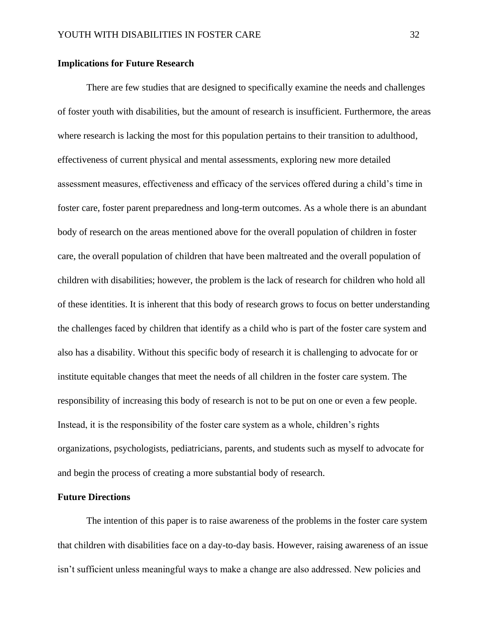#### **Implications for Future Research**

There are few studies that are designed to specifically examine the needs and challenges of foster youth with disabilities, but the amount of research is insufficient. Furthermore, the areas where research is lacking the most for this population pertains to their transition to adulthood, effectiveness of current physical and mental assessments, exploring new more detailed assessment measures, effectiveness and efficacy of the services offered during a child's time in foster care, foster parent preparedness and long-term outcomes. As a whole there is an abundant body of research on the areas mentioned above for the overall population of children in foster care, the overall population of children that have been maltreated and the overall population of children with disabilities; however, the problem is the lack of research for children who hold all of these identities. It is inherent that this body of research grows to focus on better understanding the challenges faced by children that identify as a child who is part of the foster care system and also has a disability. Without this specific body of research it is challenging to advocate for or institute equitable changes that meet the needs of all children in the foster care system. The responsibility of increasing this body of research is not to be put on one or even a few people. Instead, it is the responsibility of the foster care system as a whole, children's rights organizations, psychologists, pediatricians, parents, and students such as myself to advocate for and begin the process of creating a more substantial body of research.

#### **Future Directions**

The intention of this paper is to raise awareness of the problems in the foster care system that children with disabilities face on a day-to-day basis. However, raising awareness of an issue isn't sufficient unless meaningful ways to make a change are also addressed. New policies and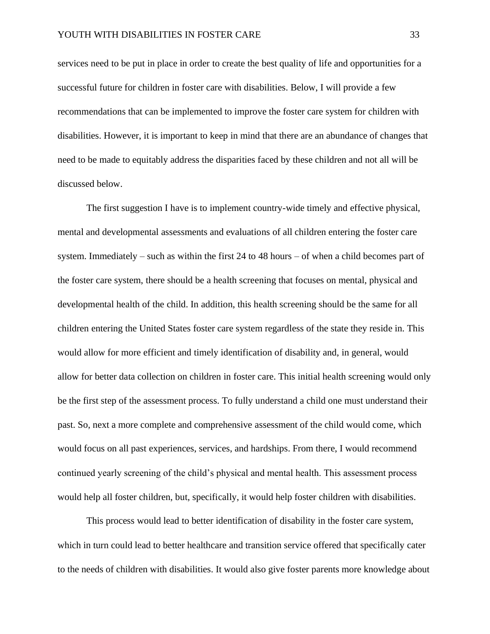services need to be put in place in order to create the best quality of life and opportunities for a successful future for children in foster care with disabilities. Below, I will provide a few recommendations that can be implemented to improve the foster care system for children with disabilities. However, it is important to keep in mind that there are an abundance of changes that need to be made to equitably address the disparities faced by these children and not all will be discussed below.

The first suggestion I have is to implement country-wide timely and effective physical, mental and developmental assessments and evaluations of all children entering the foster care system. Immediately – such as within the first 24 to 48 hours – of when a child becomes part of the foster care system, there should be a health screening that focuses on mental, physical and developmental health of the child. In addition, this health screening should be the same for all children entering the United States foster care system regardless of the state they reside in. This would allow for more efficient and timely identification of disability and, in general, would allow for better data collection on children in foster care. This initial health screening would only be the first step of the assessment process. To fully understand a child one must understand their past. So, next a more complete and comprehensive assessment of the child would come, which would focus on all past experiences, services, and hardships. From there, I would recommend continued yearly screening of the child's physical and mental health. This assessment process would help all foster children, but, specifically, it would help foster children with disabilities.

This process would lead to better identification of disability in the foster care system, which in turn could lead to better healthcare and transition service offered that specifically cater to the needs of children with disabilities. It would also give foster parents more knowledge about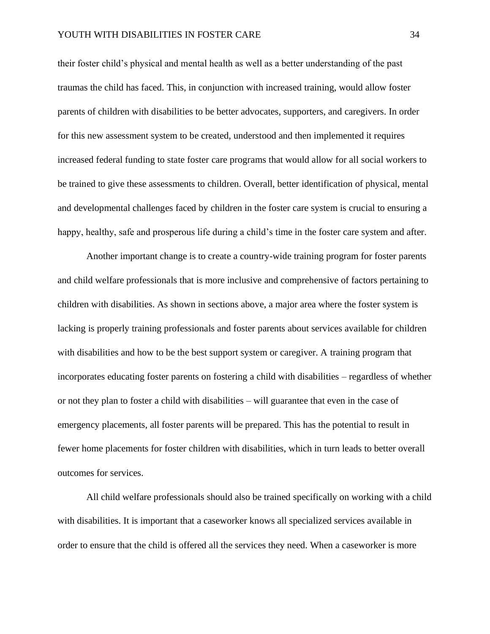their foster child's physical and mental health as well as a better understanding of the past traumas the child has faced. This, in conjunction with increased training, would allow foster parents of children with disabilities to be better advocates, supporters, and caregivers. In order for this new assessment system to be created, understood and then implemented it requires increased federal funding to state foster care programs that would allow for all social workers to be trained to give these assessments to children. Overall, better identification of physical, mental and developmental challenges faced by children in the foster care system is crucial to ensuring a happy, healthy, safe and prosperous life during a child's time in the foster care system and after.

Another important change is to create a country-wide training program for foster parents and child welfare professionals that is more inclusive and comprehensive of factors pertaining to children with disabilities. As shown in sections above, a major area where the foster system is lacking is properly training professionals and foster parents about services available for children with disabilities and how to be the best support system or caregiver. A training program that incorporates educating foster parents on fostering a child with disabilities – regardless of whether or not they plan to foster a child with disabilities – will guarantee that even in the case of emergency placements, all foster parents will be prepared. This has the potential to result in fewer home placements for foster children with disabilities, which in turn leads to better overall outcomes for services.

All child welfare professionals should also be trained specifically on working with a child with disabilities. It is important that a caseworker knows all specialized services available in order to ensure that the child is offered all the services they need. When a caseworker is more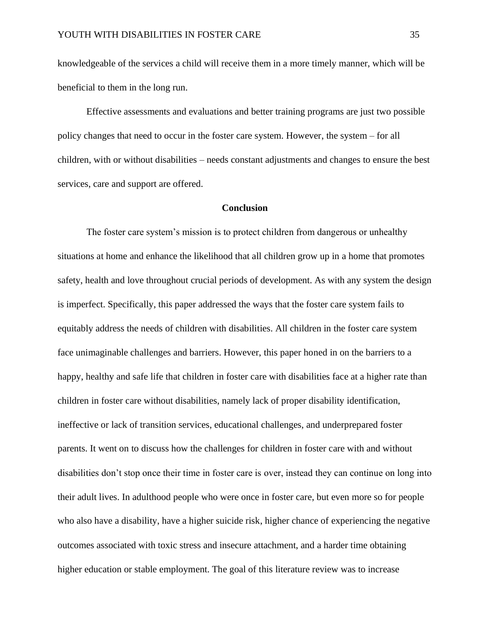knowledgeable of the services a child will receive them in a more timely manner, which will be beneficial to them in the long run.

 Effective assessments and evaluations and better training programs are just two possible policy changes that need to occur in the foster care system. However, the system – for all children, with or without disabilities – needs constant adjustments and changes to ensure the best services, care and support are offered.

#### **Conclusion**

The foster care system's mission is to protect children from dangerous or unhealthy situations at home and enhance the likelihood that all children grow up in a home that promotes safety, health and love throughout crucial periods of development. As with any system the design is imperfect. Specifically, this paper addressed the ways that the foster care system fails to equitably address the needs of children with disabilities. All children in the foster care system face unimaginable challenges and barriers. However, this paper honed in on the barriers to a happy, healthy and safe life that children in foster care with disabilities face at a higher rate than children in foster care without disabilities, namely lack of proper disability identification, ineffective or lack of transition services, educational challenges, and underprepared foster parents. It went on to discuss how the challenges for children in foster care with and without disabilities don't stop once their time in foster care is over, instead they can continue on long into their adult lives. In adulthood people who were once in foster care, but even more so for people who also have a disability, have a higher suicide risk, higher chance of experiencing the negative outcomes associated with toxic stress and insecure attachment, and a harder time obtaining higher education or stable employment. The goal of this literature review was to increase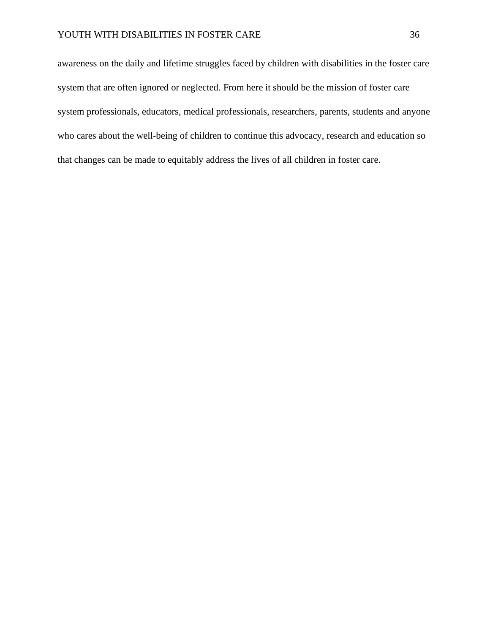awareness on the daily and lifetime struggles faced by children with disabilities in the foster care system that are often ignored or neglected. From here it should be the mission of foster care system professionals, educators, medical professionals, researchers, parents, students and anyone who cares about the well-being of children to continue this advocacy, research and education so that changes can be made to equitably address the lives of all children in foster care.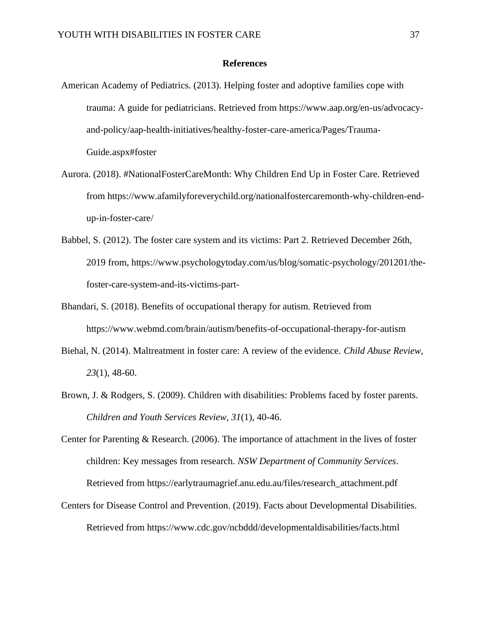#### **References**

- American Academy of Pediatrics. (2013). Helping foster and adoptive families cope with trauma: A guide for pediatricians. Retrieved from https://www.aap.org/en-us/advocacyand-policy/aap-health-initiatives/healthy-foster-care-america/Pages/Trauma-Guide.aspx#foster
- Aurora. (2018). #NationalFosterCareMonth: Why Children End Up in Foster Care. Retrieved from https://www.afamilyforeverychild.org/nationalfostercaremonth-why-children-endup-in-foster-care/
- Babbel, S. (2012). The foster care system and its victims: Part 2. Retrieved December 26th, 2019 from, https://www.psychologytoday.com/us/blog/somatic-psychology/201201/thefoster-care-system-and-its-victims-part-
- Bhandari, S. (2018). Benefits of occupational therapy for autism. Retrieved from https://www.webmd.com/brain/autism/benefits-of-occupational-therapy-for-autism
- Biehal, N. (2014). Maltreatment in foster care: A review of the evidence. *Child Abuse Review*, *23*(1), 48-60.
- Brown, J. & Rodgers, S. (2009). Children with disabilities: Problems faced by foster parents. *Children and Youth Services Review*, *31*(1), 40-46.
- Center for Parenting & Research. (2006). The importance of attachment in the lives of foster children: Key messages from research. *NSW Department of Community Services*. Retrieved from https://earlytraumagrief.anu.edu.au/files/research\_attachment.pdf
- Centers for Disease Control and Prevention. (2019). Facts about Developmental Disabilities. Retrieved from https://www.cdc.gov/ncbddd/developmentaldisabilities/facts.html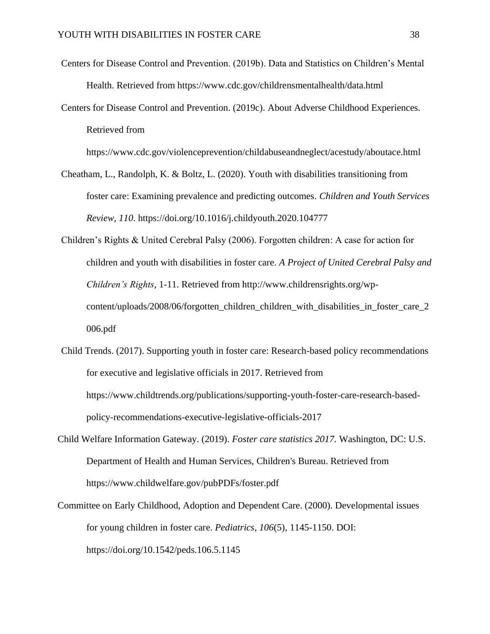- Centers for Disease Control and Prevention. (2019b). Data and Statistics on Children's Mental Health. Retrieved from https://www.cdc.gov/childrensmentalhealth/data.html
- Centers for Disease Control and Prevention. (2019c). About Adverse Childhood Experiences. Retrieved from

https://www.cdc.gov/violenceprevention/childabuseandneglect/acestudy/aboutace.html

- Cheatham, L., Randolph, K. & Boltz, L. (2020). Youth with disabilities transitioning from foster care: Examining prevalence and predicting outcomes. *Children and Youth Services Review, 110*. [https://doi.org/10.1016/j.childyouth.2020.104777](https://doi-org.proxy006.nclive.org/10.1016/j.childyouth.2020.104777)
- Children's Rights & United Cerebral Palsy (2006). Forgotten children: A case for action for children and youth with disabilities in foster care. *A Project of United Cerebral Palsy and Children's Rights*, 1-11. Retrieved from http://www.childrensrights.org/wpcontent/uploads/2008/06/forgotten\_children\_children\_with\_disabilities\_in\_foster\_care\_2 006.pdf
- Child Trends. (2017). Supporting youth in foster care: Research-based policy recommendations for executive and legislative officials in 2017. Retrieved from https://www.childtrends.org/publications/supporting-youth-foster-care-research-basedpolicy-recommendations-executive-legislative-officials-2017
- Child Welfare Information Gateway. (2019). *Foster care statistics 2017.* Washington, DC: U.S. Department of Health and Human Services, Children's Bureau. Retrieved from https://www.childwelfare.gov/pubPDFs/foster.pdf
- Committee on Early Childhood, Adoption and Dependent Care. (2000). Developmental issues for young children in foster care. *Pediatrics*, *106*(5), 1145-1150. DOI: https://doi.org/10.1542/peds.106.5.1145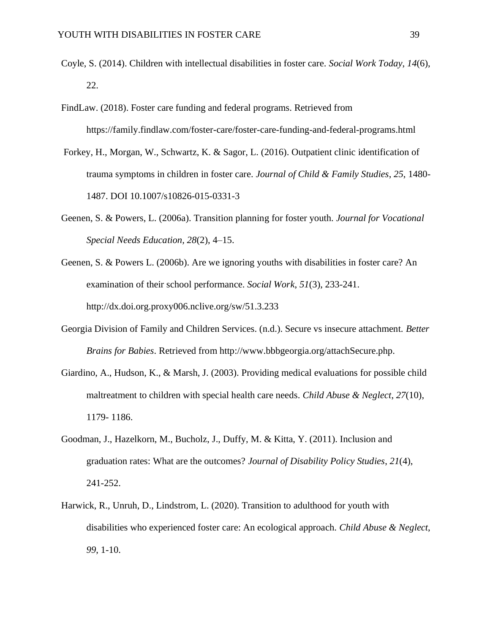- Coyle, S. (2014). Children with intellectual disabilities in foster care. *Social Work Today*, *14*(6), 22.
- FindLaw. (2018). Foster care funding and federal programs. Retrieved from https://family.findlaw.com/foster-care/foster-care-funding-and-federal-programs.html
- Forkey, H., Morgan, W., Schwartz, K. & Sagor, L. (2016). Outpatient clinic identification of trauma symptoms in children in foster care. *Journal of Child & Family Studies*, *25*, 1480- 1487. DOI 10.1007/s10826-015-0331-3
- Geenen, S. & Powers, L. (2006a). Transition planning for foster youth. *Journal for Vocational Special Needs Education, 28*(2), 4–15.
- Geenen, S. & Powers L. (2006b). Are we ignoring youths with disabilities in foster care? An examination of their school performance. *Social Work*, *51*(3), 233-241. http://dx.doi.org.proxy006.nclive.org/sw/51.3.233
- Georgia Division of Family and Children Services. (n.d.). Secure vs insecure attachment. *Better Brains for Babies*. Retrieved from http://www.bbbgeorgia.org/attachSecure.php.
- Giardino, A., Hudson, K., & Marsh, J. (2003). Providing medical evaluations for possible child maltreatment to children with special health care needs. *Child Abuse & Neglect*, *27*(10), 1179- 1186.
- Goodman, J., Hazelkorn, M., Bucholz, J., Duffy, M. & Kitta, Y. (2011). Inclusion and graduation rates: What are the outcomes? *Journal of Disability Policy Studies*, *21*(4), 241-252.
- Harwick, R., Unruh, D., Lindstrom, L. (2020). Transition to adulthood for youth with disabilities who experienced foster care: An ecological approach. *Child Abuse & Neglect*, *99*, 1-10.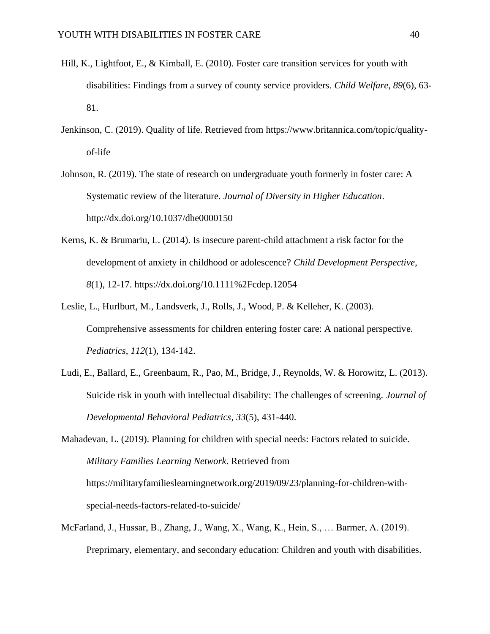- Hill, K., Lightfoot, E., & Kimball, E. (2010). Foster care transition services for youth with disabilities: Findings from a survey of county service providers. *Child Welfare*, *89*(6), 63- 81.
- Jenkinson, C. (2019). Quality of life. Retrieved from https://www.britannica.com/topic/qualityof-life
- Johnson, R. (2019). The state of research on undergraduate youth formerly in foster care: A Systematic review of the literature. *Journal of Diversity in Higher Education*. http://dx.doi.org/10.1037/dhe0000150
- Kerns, K. & Brumariu, L. (2014). Is insecure parent-child attachment a risk factor for the development of anxiety in childhood or adolescence? *Child Development Perspective*, *8*(1), 12-17. https://dx.doi.org/10.1111%2Fcdep.12054
- Leslie, L., Hurlburt, M., Landsverk, J., Rolls, J., Wood, P. & Kelleher, K. (2003). Comprehensive assessments for children entering foster care: A national perspective. *Pediatrics*, *112*(1), 134-142.
- Ludi, E., Ballard, E., Greenbaum, R., Pao, M., Bridge, J., Reynolds, W. & Horowitz, L. (2013). Suicide risk in youth with intellectual disability: The challenges of screening. *Journal of Developmental Behavioral Pediatrics*, *33*(5), 431-440.

Mahadevan, L. (2019). Planning for children with special needs: Factors related to suicide. *Military Families Learning Network*. Retrieved from https://militaryfamilieslearningnetwork.org/2019/09/23/planning-for-children-withspecial-needs-factors-related-to-suicide/

McFarland, J., Hussar, B., Zhang, J., Wang, X., Wang, K., Hein, S., … Barmer, A. (2019). Preprimary, elementary, and secondary education: Children and youth with disabilities.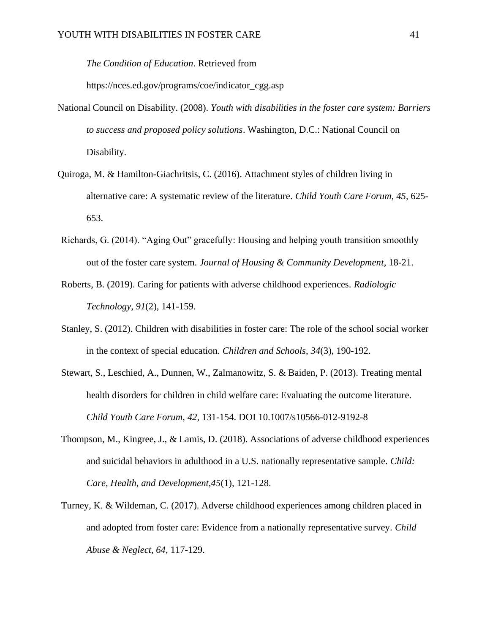*The Condition of Education*. Retrieved from

https://nces.ed.gov/programs/coe/indicator\_cgg.asp

- National Council on Disability. (2008). *Youth with disabilities in the foster care system: Barriers to success and proposed policy solutions*. Washington, D.C.: National Council on Disability.
- Quiroga, M. & Hamilton-Giachritsis, C. (2016). Attachment styles of children living in alternative care: A systematic review of the literature. *Child Youth Care Forum*, *45*, 625- 653.
- Richards, G. (2014). "Aging Out" gracefully: Housing and helping youth transition smoothly out of the foster care system. *Journal of Housing & Community Development*, 18-21.
- Roberts, B. (2019). Caring for patients with adverse childhood experiences. *Radiologic Technology*, *91*(2), 141-159.
- Stanley, S. (2012). Children with disabilities in foster care: The role of the school social worker in the context of special education. *Children and Schools*, *34*(3), 190-192.
- Stewart, S., Leschied, A., Dunnen, W., Zalmanowitz, S. & Baiden, P. (2013). Treating mental health disorders for children in child welfare care: Evaluating the outcome literature. *Child Youth Care Forum*, *42*, 131-154. DOI 10.1007/s10566-012-9192-8
- Thompson, M., Kingree, J., & Lamis, D. (2018). Associations of adverse childhood experiences and suicidal behaviors in adulthood in a U.S. nationally representative sample. *Child: Care, Health, and Development,45*(1), 121-128.
- Turney, K. & Wildeman, C. (2017). Adverse childhood experiences among children placed in and adopted from foster care: Evidence from a nationally representative survey. *Child Abuse & Neglect, 64*, 117-129.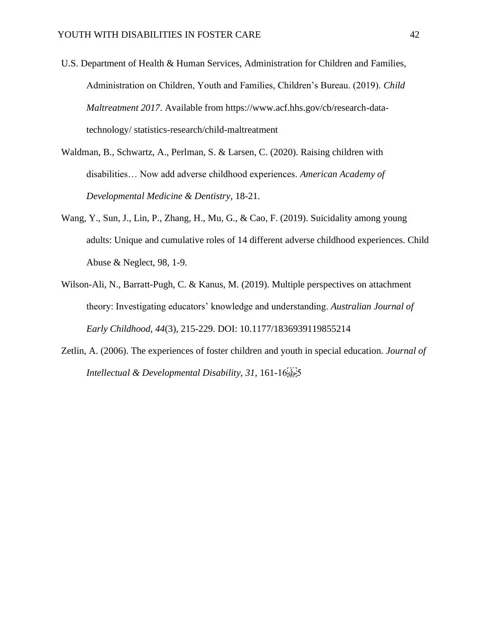- U.S. Department of Health & Human Services, Administration for Children and Families, Administration on Children, Youth and Families, Children's Bureau. (2019). *Child Maltreatment 2017*. Available from https://www.acf.hhs.gov/cb/research-datatechnology/ statistics-research/child-maltreatment
- Waldman, B., Schwartz, A., Perlman, S. & Larsen, C. (2020). Raising children with disabilities… Now add adverse childhood experiences. *American Academy of Developmental Medicine & Dentistry*, 18-21.
- Wang, Y., Sun, J., Lin, P., Zhang, H., Mu, G., & Cao, F. (2019). Suicidality among young adults: Unique and cumulative roles of 14 different adverse childhood experiences. Child Abuse & Neglect, 98, 1-9.
- Wilson-Ali, N., Barratt-Pugh, C. & Kanus, M. (2019). Multiple perspectives on attachment theory: Investigating educators' knowledge and understanding. *Australian Journal of Early Childhood*, *44*(3), 215-229. DOI: 10.1177/1836939119855214
- Zetlin, A. (2006). The experiences of foster children and youth in special education. *Journal of Intellectual & Developmental Disability, 31, 161-16*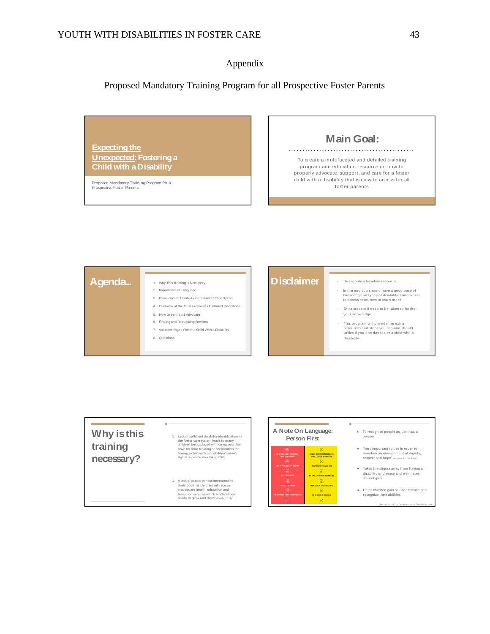### Appendix

# Proposed Mandatory Training Program for all Prospective Foster Parents

**M ain Goal: Expecting the U nexpected: Fosteringa** To create <sup>a</sup> <sup>m</sup> ultifaceted and detailed training **Child with <sup>a</sup> Disability** program and education resource on how to properly advocate, support, and care for a foster child with <sup>a</sup> disability that is easy to access for all Proposed Mandatory Training Program for all Prospective Foster Parents foster parents



# **W hy isthis training necessary?**

#### 1. Lack of sufficient disability identification in the foster care system leads to many<br>children being placed with caregivers that have no prior training or preparation for having a child with a disability (Children's Right & United Cerebral Palsy, 2006).

 $\mathbb{R}^3$ 

1. A lack of preparedness increases the likelihood that children will receive inadequate health, education and transition services which hinders their<br>ability to grow and thrive (Coyle, 2014).

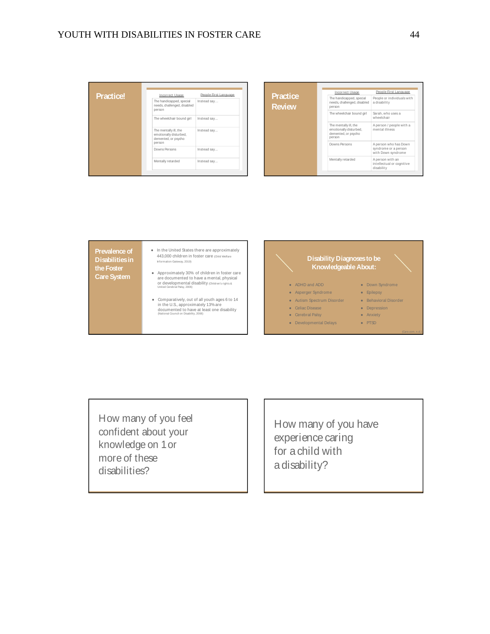| <b>Practice!</b> | Incorrect Usage                                                                  | People First Language | <b>Practice</b> |
|------------------|----------------------------------------------------------------------------------|-----------------------|-----------------|
|                  | The handicapped, special<br>needs, challenged, disabled<br>person                | Instead say           | <b>Review</b>   |
|                  | The wheelchair bound girl                                                        | Instead say           |                 |
|                  | The mentally ill, the<br>emotionally disturbed,<br>demented, or psycho<br>person | Instead say           |                 |
|                  | Downs Persons                                                                    | Instead say           |                 |
|                  | Mentally retarded                                                                | Instead say           |                 |
|                  |                                                                                  |                       |                 |

| <b>Practice</b> |  |
|-----------------|--|
| Review          |  |

| Incorrect Usage                                                                  | People First Language                                               |
|----------------------------------------------------------------------------------|---------------------------------------------------------------------|
| The handicapped, special<br>needs, challenged, disabled<br>person                | People or individuals with<br>a disability                          |
| The wheelchair bound girl                                                        | Sarah, who uses a<br>wheelchair                                     |
| The mentally ill, the<br>emotionally disturbed.<br>demented, or psycho<br>person | A person / people with a<br>mental illness                          |
| Downs Persons                                                                    | A person who has Down<br>syndrome or a person<br>with Down syndrome |
| Mentally retarded                                                                | A person with an<br>intellectual or cognitive<br>disability         |

**Prevalence of D isabilitiesin the Foster CareSystem**

- In the United States there are approximately 443,000 child ren in foster care (Child Welfare Information Gateway, 2019)
- Approximately 30% of children in foster care are do cumented to have a mental, physical o r developmental disability (Children's rights & United Cer ebr al Pal sy, 2006)
- Comparatively, out of all youth ages 6 to 14<br>in the U.S., approximately 13% are<br>documented to have at least one disability<br>National Council on Disability, 2008)



How many of you feel confident about your knowledge on 1or more of these disabilities?

How many of you have experience caring for a child with a disability?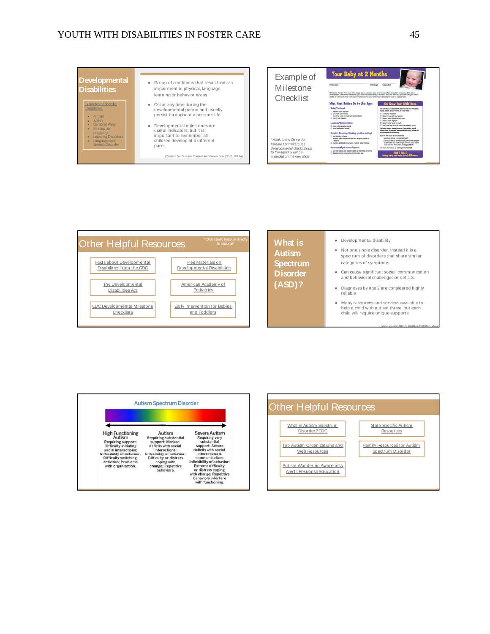# YOUTH WITH DISABILITIES IN FOSTER CARE 45







**What** is **Autism Spectrum D isorder ( ASD) ?**

● Developmental disability

● Not one single disorder, instead it is a spectrum of disorders that share similar categories of symptoms

● Can cause significant social, communication and behavioral challenges or deficits

- Diagnoses by age 2 are considered highly r eliable
- M an y resou rces an d services available to help a child with autism thrive, but each child will require unique supports

(CDC, 2019b; Smith, Segal, & Hutman, 2019)



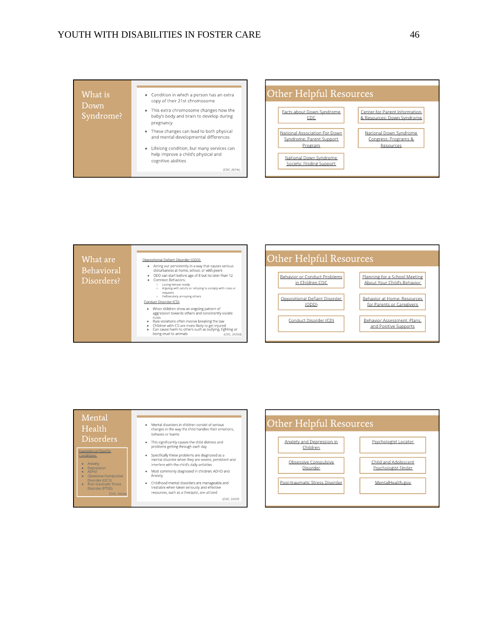| What is<br>Down<br>Syndrome? | • Condition in which a person has an extra<br>copy of their 21st chromosome<br>• This extra chromosome changes how the<br>baby's body and brain to develop during<br>pregnancy<br>• These changes can lead to both physical<br>and mental developmental differences<br>• Lifelong condition, but many services can<br>help improve a child's physical and<br>cognitive abilities |
|------------------------------|----------------------------------------------------------------------------------------------------------------------------------------------------------------------------------------------------------------------------------------------------------------------------------------------------------------------------------------------------------------------------------|
|                              | (CDC, 2019c)                                                                                                                                                                                                                                                                                                                                                                     |

#### Other Helpful Resources Facts about Down Syndrome Center for Parent Information

 $CDC$ & Resources: Down Syndrome **National Association For Down** National Down Syndrome Syndrome: Parent Support Congress: Programs & Program Resources National Down Syndrome Society: Finding Support



#### Mental Health **Disorders**

Examples of Specific

- · Anxiety
- 
- Anxiety<br>Depression<br>ADHD<br>Obsessive-Compulsive<br>Disorder (PTSD)<br>Disorder (PTSD)<br>Disorder (PTSD)
- 
- Mental disorders in children consist of serious<br>changes in the way the child handles their emotions, behaves or learns
- This significantly causes the child distress and<br>problems getting through each day
- Specifically these problems are diagnosed as a<br>mental disorder when they are severe, persistent and<br>interfere with the child's daily activities  $\bullet$
- Most commonly diagnosed in children: ADHD and<br>Anxiety  $\ddot{\phantom{0}}$
- Childhood mental disorders are manageable and<br>treatable when taken seriously and effective<br>resources, such as a therapist, are utilized (CDC, 2020f)

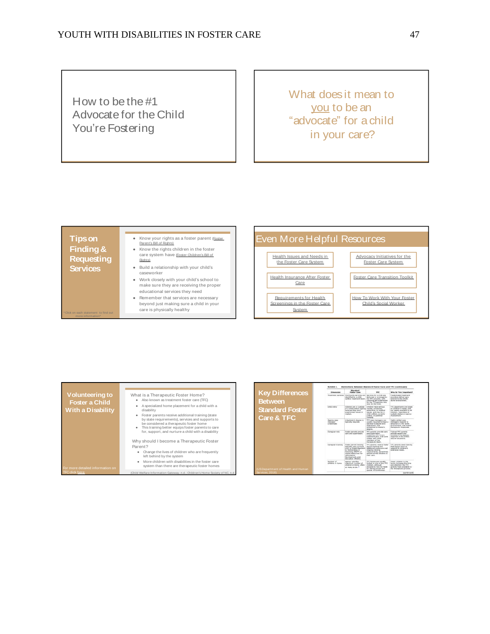How to be the  $#1$ Advocate for the Child You're Fostering

What does it mean to you to be an " advocate" for a child in your care?

#### **T ipson Finding& Requesting Services**

| $\bullet$ | Know your rights as a foster parent (Foster |
|-----------|---------------------------------------------|
|           | Parent's Bill of Rights)                    |
| $\bullet$ | Know the rights children in the foster      |

#### care system have (Foster Children's Bill of Rights)

● Build <sup>a</sup> relationship with your child's caseworker

- Work closely with your child's school to make sure they are receiving the proper educational services they need
- Remember that services are necessary beyond just making sure a child in your care is physically healthy

# Even More Helpful Resources





|                                          | Exhibit 1.<br><b>Distinctions Between Standard Foster Care and TFC (continued)</b> |                                                                                                                                                                                                                   |                                                                                                                                                                                                    |                                                                                                                                                              |
|------------------------------------------|------------------------------------------------------------------------------------|-------------------------------------------------------------------------------------------------------------------------------------------------------------------------------------------------------------------|----------------------------------------------------------------------------------------------------------------------------------------------------------------------------------------------------|--------------------------------------------------------------------------------------------------------------------------------------------------------------|
| <b>Key Differences</b>                   | Dimension                                                                          | Standard<br><b>Foster Care</b>                                                                                                                                                                                    | <b>TFC</b>                                                                                                                                                                                         | Why Ia This Important?                                                                                                                                       |
| <b>Between</b>                           | Treatment services                                                                 | Community services are<br>identified by a child<br>wellere treatment team                                                                                                                                         | Services for a child are:<br>delivered or arranged by<br>the TFC provider, with<br>coaching and supervision<br>for the TFC parents who<br>care for the child.                                      | Credentialed treatment<br>providers deliver care<br>tailored to the child's<br>harme environment.                                                            |
| <b>Standard Foster</b><br>Care & TFC     | Child entry                                                                        | Children are in custody<br>of a child wellare assure<br>herause they have<br>nemarkerend abuse or<br>neglect.                                                                                                     | <b>Children have serious</b><br>mental amotional.<br>herbanderal, or resulting<br>besures, and may be in<br>child welfare, accercle<br>kettics, or parented<br>custody.                            | TFC placements are based<br>on children's needs, and<br>are ideally available to all<br>children, regardless of<br>custody status or agency<br>insulvanient. |
|                                          | Agency case<br>manager<br>readabilida                                              | A bachelor's degree is<br>typically required.                                                                                                                                                                     | TFC case managers are<br>usually required to have a<br>bachelor's degree with<br>experience, and<br>sometimes a mester's<br>degree.                                                                | Highly skilled case<br>managers respond to<br>behaviors in the home<br>environment, and model<br>therapeutic responses.                                      |
|                                          | Caregiver role                                                                     | <b>Poster narents smokle</b><br>care and summitteen.                                                                                                                                                              | TFC narertis provide rare<br>and succession.<br>invaluations the child's<br>treatment plan, and work<br>closely with other<br>manybers of the<br>thoropeutic team.                                 | <b>Trained TFC parents</b><br><b>Dirig Prestore adults/on</b><br>consisters therapeutic<br>response in the child's<br>natural situations.                    |
| <b>US Department of Health and Human</b> | Canasiver training                                                                 | Foater carent training<br>typically uses curricula<br>such as Hodel Azoroach<br>to Partnerships in<br>Paranting (MAPP) or<br><b>Person Benouvous for</b><br>Information.<br>Development, and<br>Education (PRIDE) | TFC parents receive foster<br>perent training and<br>additional preservice and<br><b><i><u>Ingeling</u></i></b> training<br>reduirements, sometimes.<br>specific to the children in<br>their care. | TFC parents need training<br>that equips them to<br>respond to children's<br>extensive needs.                                                                |
|                                          | Number of<br>children in home                                                      | Apartury smerifies<br>maximum number of<br>children in home, often<br>as many as six. <sup>3</sup>                                                                                                                | TFC homes are usually<br>limited to one or two TFC.<br>chédren, although<br>exceptions may be made<br>for sibling prouge and<br>searcial circumstances.                                            | Financy children in the<br>home increases the time.<br>and attention the TFC<br>parents have available to<br>the therapeutic process.                        |
| Services, 2018)                          |                                                                                    |                                                                                                                                                                                                                   |                                                                                                                                                                                                    | (continued)                                                                                                                                                  |